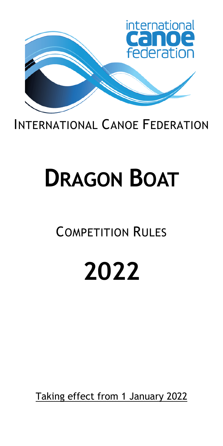

# INTERNATIONAL CANOE FEDERATION

# **DRAGON BOAT**

# COMPETITION RULES

# **2022**

Taking effect from 1 January 2022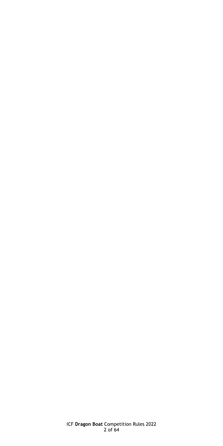ICF **Dragon Boat** Competition Rules 2022 2 of 64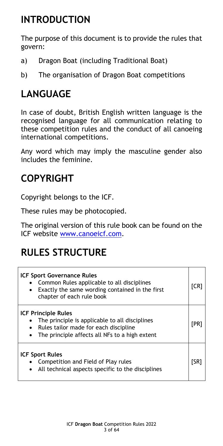# **INTRODUCTION**

The purpose of this document is to provide the rules that govern:

- a) Dragon Boat (including Traditional Boat)
- b) The organisation of Dragon Boat competitions

# **LANGUAGE**

In case of doubt, British English written language is the recognised language for all communication relating to these competition rules and the conduct of all canoeing international competitions.

Any word which may imply the masculine gender also includes the feminine.

# **COPYRIGHT**

Copyright belongs to the ICF.

These rules may be photocopied.

The original version of this rule book can be found on the ICF website [www.canoeicf.com.](http://www.canoeicf.com/)

## **RULES STRUCTURE**

| <b>ICF Sport Governance Rules</b><br>Common Rules applicable to all disciplines<br>Exactly the same wording contained in the first<br>chapter of each rule book         | [CR]            |
|-------------------------------------------------------------------------------------------------------------------------------------------------------------------------|-----------------|
| <b>ICF Principle Rules</b><br>The principle is applicable to all disciplines<br>Rules tailor made for each discipline<br>The principle affects all NFs to a high extent | PRI             |
| <b>ICF Sport Rules</b><br>Competition and Field of Play rules<br>All technical aspects specific to the disciplines                                                      | SR <sub>1</sub> |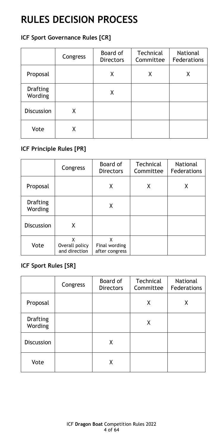# **RULES DECISION PROCESS**

#### **ICF Sport Governance Rules [CR]**

|                            | Congress | Board of<br><b>Directors</b> | Technical<br>Committee | National<br>Federations |
|----------------------------|----------|------------------------------|------------------------|-------------------------|
| Proposal                   |          | χ                            | χ                      |                         |
| <b>Drafting</b><br>Wording |          | Χ                            |                        |                         |
| <b>Discussion</b>          | X        |                              |                        |                         |
| Vote                       |          |                              |                        |                         |

#### **ICF Principle Rules [PR]**

|                            | Congress                             | Board of<br><b>Directors</b>         | Technical<br>Committee | <b>National</b><br>Federations |
|----------------------------|--------------------------------------|--------------------------------------|------------------------|--------------------------------|
| Proposal                   |                                      | X                                    | Χ                      | χ                              |
| <b>Drafting</b><br>Wording |                                      | χ                                    |                        |                                |
| <b>Discussion</b>          | X                                    |                                      |                        |                                |
| Vote                       | x<br>Overall policy<br>and direction | χ<br>Final wording<br>after congress |                        |                                |

#### **ICF Sport Rules [SR]**

|                            | Congress | Board of<br><b>Directors</b> | <b>Technical</b><br>Committee | National<br>Federations |
|----------------------------|----------|------------------------------|-------------------------------|-------------------------|
| Proposal                   |          |                              | X                             | Χ                       |
| <b>Drafting</b><br>Wording |          |                              | χ                             |                         |
| <b>Discussion</b>          |          | X                            |                               |                         |
| Vote                       |          | Χ                            |                               |                         |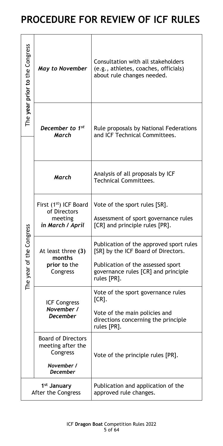# **PROCEDURE FOR REVIEW OF ICF RULES**

| The year prior to the Congress                        | <b>May to November</b>                                                                      | Consultation with all stakeholders<br>(e.g., athletes, coaches, officials)<br>about rule changes needed.                                                                  |
|-------------------------------------------------------|---------------------------------------------------------------------------------------------|---------------------------------------------------------------------------------------------------------------------------------------------------------------------------|
|                                                       | December to 1 <sup>st</sup><br>March                                                        | Rule proposals by National Federations<br>and ICF Technical Committees.                                                                                                   |
|                                                       | <b>March</b>                                                                                | Analysis of all proposals by ICF<br><b>Technical Committees.</b>                                                                                                          |
| Congress<br>$\overline{\mathbf{Q}}$<br>The year of th | First (1 <sup>st</sup> ) ICF Board<br>of Directors<br>meeting<br>in March / April           | Vote of the sport rules [SR].<br>Assessment of sport governance rules<br>[CR] and principle rules [PR].                                                                   |
|                                                       | At least three (3)<br>months<br>prior to the<br>Congress                                    | Publication of the approved sport rules<br>[SR] by the ICF Board of Directors.<br>Publication of the assessed sport<br>governance rules [CR] and principle<br>rules [PR]. |
|                                                       | <b>ICF Congress</b><br>November /<br><b>December</b>                                        | Vote of the sport governance rules<br>$[CR]$ .<br>Vote of the main policies and<br>directions concerning the principle<br>rules [PR].                                     |
|                                                       | <b>Board of Directors</b><br>meeting after the<br>Congress<br>November /<br><b>December</b> | Vote of the principle rules [PR].                                                                                                                                         |
|                                                       | 1 <sup>st</sup> January<br>After the Congress                                               | Publication and application of the<br>approved rule changes.                                                                                                              |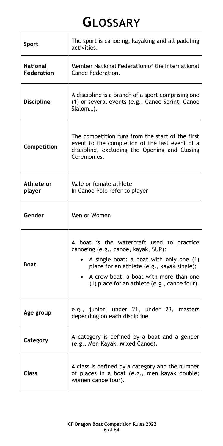# **GLOSSARY**

| <b>Sport</b>                         | The sport is canoeing, kayaking and all paddling<br>activities.                                                                                                                                                                                                     |  |
|--------------------------------------|---------------------------------------------------------------------------------------------------------------------------------------------------------------------------------------------------------------------------------------------------------------------|--|
| <b>National</b><br><b>Federation</b> | Member National Federation of the International<br>Canoe Federation.                                                                                                                                                                                                |  |
| <b>Discipline</b>                    | A discipline is a branch of a sport comprising one<br>(1) or several events (e.g., Canoe Sprint, Canoe<br>Slalom).                                                                                                                                                  |  |
| Competition                          | The competition runs from the start of the first<br>event to the completion of the last event of a<br>discipline, excluding the Opening and Closing<br>Ceremonies.                                                                                                  |  |
| Athlete or<br>player                 | Male or female athlete<br>In Canoe Polo refer to player                                                                                                                                                                                                             |  |
| Gender                               | Men or Women                                                                                                                                                                                                                                                        |  |
| <b>Boat</b>                          | A boat is the watercraft used to practice<br>canoeing (e.g., canoe, kayak, SUP):<br>A single boat: a boat with only one (1)<br>place for an athlete (e.g., kayak single);<br>A crew boat: a boat with more than one<br>(1) place for an athlete (e.g., canoe four). |  |
| Age group                            | e.g., junior, under 21, under 23, masters<br>depending on each discipline                                                                                                                                                                                           |  |
| Category                             | A category is defined by a boat and a gender<br>(e.g., Men Kayak, Mixed Canoe).                                                                                                                                                                                     |  |
| <b>Class</b>                         | A class is defined by a category and the number<br>of places in a boat (e.g., men kayak double;<br>women canoe four).                                                                                                                                               |  |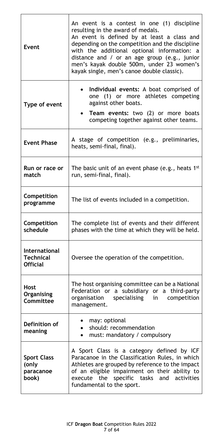| Event                                                | An event is a contest in one (1) discipline<br>resulting in the award of medals.<br>An event is defined by at least a class and<br>depending on the competition and the discipline<br>with the additional optional information: a<br>distance and / or an age group $(e.g., junior)$<br>men's kayak double 500m, under 23 women's<br>kayak single, men's canoe double classic). |
|------------------------------------------------------|---------------------------------------------------------------------------------------------------------------------------------------------------------------------------------------------------------------------------------------------------------------------------------------------------------------------------------------------------------------------------------|
| Type of event                                        | Individual events: A boat comprised of<br>one (1) or more athletes competing<br>against other boats.<br><b>Team events:</b> two (2) or more boats<br>competing together against other teams.                                                                                                                                                                                    |
| <b>Event Phase</b>                                   | A stage of competition (e.g., preliminaries,<br>heats, semi-final, final).                                                                                                                                                                                                                                                                                                      |
| Run or race or<br>match                              | The basic unit of an event phase (e.g., heats $1st$<br>run, semi-final, final).                                                                                                                                                                                                                                                                                                 |
| Competition<br>programme                             | The list of events included in a competition.                                                                                                                                                                                                                                                                                                                                   |
| Competition<br>schedule                              | The complete list of events and their different<br>phases with the time at which they will be held.                                                                                                                                                                                                                                                                             |
| International<br><b>Technical</b><br><b>Official</b> | Oversee the operation of the competition.                                                                                                                                                                                                                                                                                                                                       |
| <b>Host</b><br>Organising<br>Committee               | The host organising committee can be a National<br>Federation or a subsidiary or a third-party<br>specialising in<br>organisation<br>competition<br>management.                                                                                                                                                                                                                 |
| Definition of<br>meaning                             | may: optional<br>should: recommendation<br>must: mandatory / compulsory<br>$\bullet$                                                                                                                                                                                                                                                                                            |
| <b>Sport Class</b><br>(only<br>paracanoe<br>book)    | A Sport Class is a category defined by ICF<br>Paracanoe in the Classification Rules, in which<br>Athletes are grouped by reference to the impact<br>of an eligible impairment on their ability to<br>the specific tasks and<br>activities<br>execute<br>fundamental to the sport.                                                                                               |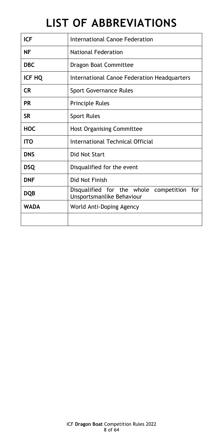# **LIST OF ABBREVIATIONS**

| <b>ICF</b>    | International Canoe Federation                                          |  |
|---------------|-------------------------------------------------------------------------|--|
| <b>NF</b>     | <b>National Federation</b>                                              |  |
| <b>DBC</b>    | <b>Dragon Boat Committee</b>                                            |  |
| <b>ICF HQ</b> | <b>International Canoe Federation Headquarters</b>                      |  |
| <b>CR</b>     | <b>Sport Governance Rules</b>                                           |  |
| <b>PR</b>     | <b>Principle Rules</b>                                                  |  |
| <b>SR</b>     | <b>Sport Rules</b>                                                      |  |
| <b>HOC</b>    | <b>Host Organising Committee</b>                                        |  |
| <b>ITO</b>    | International Technical Official                                        |  |
| <b>DNS</b>    | Did Not Start                                                           |  |
| <b>DSQ</b>    | Disqualified for the event                                              |  |
| <b>DNF</b>    | Did Not Finish                                                          |  |
| <b>DQB</b>    | Disqualified for the whole competition for<br>Unsportsmanlike Behaviour |  |
| <b>WADA</b>   | World Anti-Doping Agency                                                |  |
|               |                                                                         |  |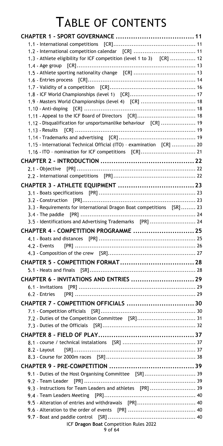# TABLE OF CONTENTS

| 1.2 - International competition calendar [CR]  11                     |  |
|-----------------------------------------------------------------------|--|
| 1.3 - Athlete eligibility for ICF competition (level 1 to 3) [CR]  12 |  |
|                                                                       |  |
| 1.5 - Athlete sporting nationality change [CR]  13                    |  |
|                                                                       |  |
|                                                                       |  |
|                                                                       |  |
| 1.9 - Masters World Championships (level 4) [CR]  18                  |  |
|                                                                       |  |
| 1.11 - Appeal to the ICF Board of Directors [CR] 18                   |  |
| 1.12 - Disqualification for unsportsmanlike behaviour [CR]  19        |  |
|                                                                       |  |
| 1.15 - International Technical Official (ITO) - examination [CR]  20  |  |
| 1.16 - ITO - nomination for ICF competitions [CR] 21                  |  |
|                                                                       |  |
|                                                                       |  |
|                                                                       |  |
|                                                                       |  |
|                                                                       |  |
|                                                                       |  |
|                                                                       |  |
| 3.3 - Requirements for international Dragon Boat competitions [SR] 23 |  |
|                                                                       |  |
| 3.5 - Identifications and Advertising Trademarks [PR]  24             |  |
| CHAPTER 4 - COMPETITION PROGRAMME  25                                 |  |
|                                                                       |  |
|                                                                       |  |
|                                                                       |  |
|                                                                       |  |
|                                                                       |  |
|                                                                       |  |
| CHAPTER 6 - INVITATIONS AND ENTRIES  29                               |  |
|                                                                       |  |
| 6.2 - Entries                                                         |  |
|                                                                       |  |
| CHAPTER 7 - COMPETITION OFFICIALS  30                                 |  |
|                                                                       |  |
| 7.2 - Duties of the Competition Committee [SR] 31                     |  |
|                                                                       |  |
|                                                                       |  |
|                                                                       |  |
| 8.2 - Layout                                                          |  |
|                                                                       |  |
|                                                                       |  |
| 9.1 - Duties of the Host Organising Committee [SR] 39                 |  |
|                                                                       |  |
| 9.3 - Instructions for Team Leaders and athletes [PR]  39             |  |
|                                                                       |  |
| 9.5 - Alteration of entries and withdrawals [PR] 40                   |  |
|                                                                       |  |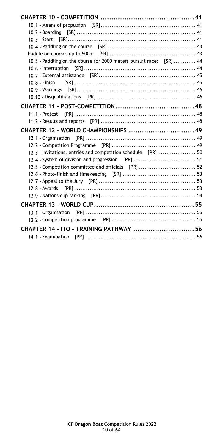| $10.3 - Start$                                                      |  |
|---------------------------------------------------------------------|--|
|                                                                     |  |
|                                                                     |  |
| 10.5 - Paddling on the course for 2000 meters pursuit race: [SR] 44 |  |
|                                                                     |  |
|                                                                     |  |
| $10.8 -$ Finish                                                     |  |
|                                                                     |  |
|                                                                     |  |
|                                                                     |  |
|                                                                     |  |
|                                                                     |  |
| CHAPTER 12 - WORLD CHAMPIONSHIPS  49                                |  |
|                                                                     |  |
|                                                                     |  |
|                                                                     |  |
| 12.3 - Invitations, entries and competition schedule [PR] 50        |  |
|                                                                     |  |
| 12.5 - Competition committee and officials [PR]  52                 |  |
|                                                                     |  |
|                                                                     |  |
|                                                                     |  |
|                                                                     |  |
|                                                                     |  |
|                                                                     |  |
|                                                                     |  |
| <b>CHAPTER 14 - ITO - TRAINING PATHWAY  56</b>                      |  |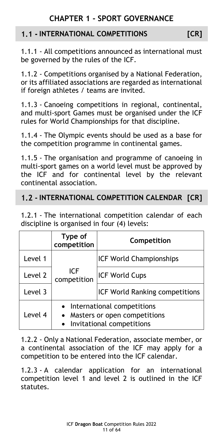### **CHAPTER 1 - SPORT GOVERNANCE**

#### <span id="page-10-1"></span><span id="page-10-0"></span>**1.1 - INTERNATIONAL COMPETITIONS [CR]**

1.1.1 - All competitions announced as international must be governed by the rules of the ICF.

1.1.2 - Competitions organised by a National Federation, or its affiliated associations are regarded as international if foreign athletes / teams are invited.

1.1.3 - Canoeing competitions in regional, continental, and multi-sport Games must be organised under the ICF rules for World Championships for that discipline.

1.1.4 - The Olympic events should be used as a base for the competition programme in continental games.

1.1.5 - The organisation and programme of canoeing in multi-sport games on a world level must be approved by the ICF and for continental level by the relevant continental association.

#### <span id="page-10-2"></span>**1.2 - INTERNATIONAL COMPETITION CALENDAR [CR]**

1.2.1 - The international competition calendar of each discipline is organised in four (4) levels:

|         | Type of<br>competition                                                                      | Competition                           |
|---------|---------------------------------------------------------------------------------------------|---------------------------------------|
| Level 1 |                                                                                             | <b>ICF World Championships</b>        |
| Level 2 | <b>ICF</b><br>competition                                                                   | <b>ICF World Cups</b>                 |
| Level 3 |                                                                                             | <b>ICF World Ranking competitions</b> |
| Level 4 | • International competitions<br>Masters or open competitions<br>• Invitational competitions |                                       |

1.2.2 - Only a National Federation, associate member, or a continental association of the ICF may apply for a competition to be entered into the ICF calendar.

1.2.3 - A calendar application for an international competition level 1 and level 2 is outlined in the ICF statutes.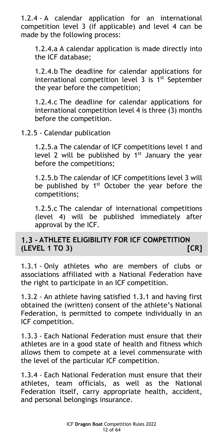1.2.4 - A calendar application for an international competition level 3 (if applicable) and level 4 can be made by the following process:

1.2.4.a A calendar application is made directly into the ICF database;

1.2.4.b The deadline for calendar applications for international competition level  $3$  is  $1^{st}$  September the year before the competition;

1.2.4.c The deadline for calendar applications for international competition level 4 is three (3) months before the competition.

1.2.5 - Calendar publication

1.2.5.a The calendar of ICF competitions level 1 and level 2 will be published by  $1<sup>st</sup>$  January the year before the competitions;

1.2.5.b The calendar of ICF competitions level 3 will be published by  $1<sup>st</sup>$  October the year before the competitions;

1.2.5.c The calendar of international competitions (level 4) will be published immediately after approval by the ICF.

#### <span id="page-11-0"></span>**ATHLETE ELIGIBILITY FOR ICF COMPETITION (LEVEL 1 TO 3) [CR]**

1.3.1 - Only athletes who are members of clubs or associations affiliated with a National Federation have the right to participate in an ICF competition.

1.3.2 - An athlete having satisfied 1.3.1 and having first obtained the (written) consent of the athlete's National Federation, is permitted to compete individually in an ICF competition.

1.3.3 - Each National Federation must ensure that their athletes are in a good state of health and fitness which allows them to compete at a level commensurate with the level of the particular ICF competition.

1.3.4 - Each National Federation must ensure that their athletes, team officials, as well as the National Federation itself, carry appropriate health, accident, and personal belongings insurance.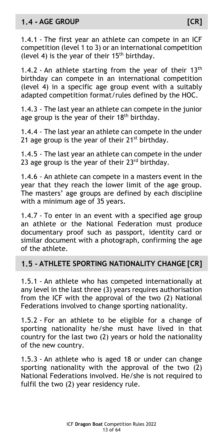### <span id="page-12-0"></span>**AGE GROUP [CR]**

1.4.1 - The first year an athlete can compete in an ICF competition (level 1 to 3) or an international competition (level 4) is the year of their  $15<sup>th</sup>$  birthday.

1.4.2 - An athlete starting from the year of their  $13<sup>th</sup>$ birthday can compete in an international competition (level 4) in a specific age group event with a suitably adapted competition format/rules defined by the HOC.

1.4.3 - The last year an athlete can compete in the junior age group is the year of their  $18<sup>th</sup>$  birthday.

1.4.4 - The last year an athlete can compete in the under 21 age group is the year of their  $21^{st}$  birthday.

1.4.5 - The last year an athlete can compete in the under 23 age group is the year of their 23<sup>rd</sup> birthday.

1.4.6 - An athlete can compete in a masters event in the year that they reach the lower limit of the age group. The masters' age groups are defined by each discipline with a minimum age of 35 years.

1.4.7 - To enter in an event with a specified age group an athlete or the National Federation must produce documentary proof such as passport, identity card or similar document with a photograph, confirming the age of the athlete.

#### <span id="page-12-1"></span>**ATHLETE SPORTING NATIONALITY CHANGE [CR]**

1.5.1 - An athlete who has competed internationally at any level in the last three (3) years requires authorisation from the ICF with the approval of the two (2) National Federations involved to change sporting nationality.

1.5.2 - For an athlete to be eligible for a change of sporting nationality he/she must have lived in that country for the last two (2) years or hold the nationality of the new country.

1.5.3 - An athlete who is aged 18 or under can change sporting nationality with the approval of the two (2) National Federations involved. He/she is not required to fulfil the two (2) year residency rule.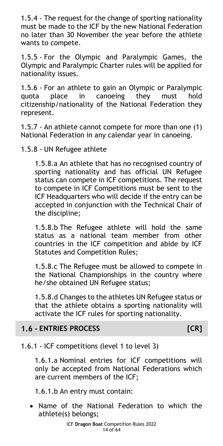1.5.4 - The request for the change of sporting nationality must be made to the ICF by the new National Federation no later than 30 November the year before the athlete wants to compete.

1.5.5 - For the Olympic and Paralympic Games, the Olympic and Paralympic Charter rules will be applied for nationality issues.

1.5.6 - For an athlete to gain an Olympic or Paralympic quota place in canoeing they must hold citizenship/nationality of the National Federation they represent.

1.5.7 - An athlete cannot compete for more than one (1) National Federation in any calendar year in canoeing.

1.5.8 - UN Refugee athlete

1.5.8.a An athlete that has no recognised country of sporting nationality and has official UN Refugee status can compete in ICF competitions. The request to compete in ICF Competitions must be sent to the ICF Headquarters who will decide if the entry can be accepted in conjunction with the Technical Chair of the discipline;

1.5.8.b The Refugee athlete will hold the same status as a national team member from other countries in the ICF competition and abide by ICF Statutes and Competition Rules;

1.5.8.c The Refugee must be allowed to compete in the National Championships in the country where he/she obtained UN Refugee status;

1.5.8.d Changes to the athletes UN Refugee status or that the athlete obtains a sporting nationality will activate the ICF rules for sporting nationality.

#### <span id="page-13-0"></span>**ENTRIES PROCESS [CR]**

#### 1.6.1 - ICF competitions (level 1 to level 3)

1.6.1.a Nominal entries for ICF competitions will only be accepted from National Federations which are current members of the ICF;

1.6.1.b An entry must contain:

Name of the National Federation to which the athlete(s) belongs;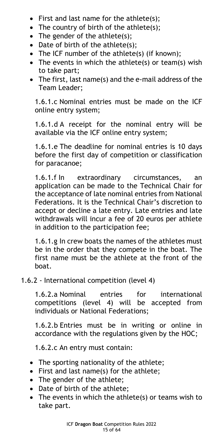- First and last name for the athlete(s);
- The country of birth of the athlete(s);
- The gender of the athlete(s);
- Date of birth of the athlete(s);
- The ICF number of the athlete(s) (if known);
- The events in which the athlete(s) or team(s) wish to take part;
- The first, last name(s) and the e-mail address of the Team Leader;

1.6.1.c Nominal entries must be made on the ICF online entry system;

1.6.1.d A receipt for the nominal entry will be available via the ICF online entry system;

1.6.1.e The deadline for nominal entries is 10 days before the first day of competition or classification for paracanoe;

1.6.1.f In extraordinary circumstances, an application can be made to the Technical Chair for the acceptance of late nominal entries from National Federations. It is the Technical Chair's discretion to accept or decline a late entry. Late entries and late withdrawals will incur a fee of 20 euros per athlete in addition to the participation fee;

1.6.1.g In crew boats the names of the athletes must be in the order that they compete in the boat. The first name must be the athlete at the front of the boat.

1.6.2 - International competition (level 4)

1.6.2.a Nominal entries for international competitions (level 4) will be accepted from individuals or National Federations;

1.6.2.b Entries must be in writing or online in accordance with the regulations given by the HOC;

1.6.2.c An entry must contain:

- The sporting nationality of the athlete;
- First and last name(s) for the athlete;
- The gender of the athlete;
- Date of birth of the athlete:
- The events in which the athlete(s) or teams wish to take part.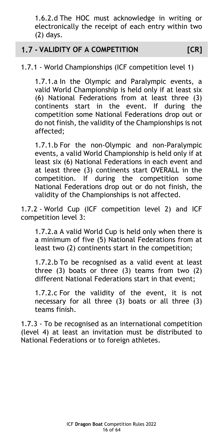1.6.2.d The HOC must acknowledge in writing or electronically the receipt of each entry within two (2) days.

#### <span id="page-15-0"></span>**VALIDITY OF A COMPETITION [CR]**

1.7.1 - World Championships (ICF competition level 1)

1.7.1.a In the Olympic and Paralympic events, a valid World Championship is held only if at least six (6) National Federations from at least three (3) continents start in the event. If during the competition some National Federations drop out or do not finish, the validity of the Championships is not affected;

1.7.1.b For the non-Olympic and non-Paralympic events, a valid World Championship is held only if at least six (6) National Federations in each event and at least three (3) continents start OVERALL in the competition. If during the competition some National Federations drop out or do not finish, the validity of the Championships is not affected.

1.7.2 - World Cup (ICF competition level 2) and ICF competition level 3:

1.7.2.a A valid World Cup is held only when there is a minimum of five (5) National Federations from at least two (2) continents start in the competition;

1.7.2.b To be recognised as a valid event at least three  $(3)$  boats or three  $(3)$  teams from two  $(2)$ different National Federations start in that event;

1.7.2.c For the validity of the event, it is not necessary for all three (3) boats or all three (3) teams finish.

1.7.3 - To be recognised as an international competition (level 4) at least an invitation must be distributed to National Federations or to foreign athletes.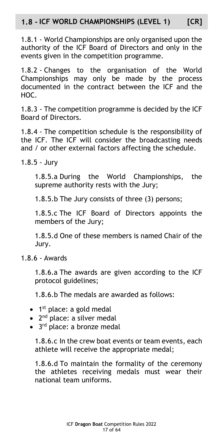#### <span id="page-16-0"></span>1.8 - ICF WORLD CHAMPIONSHIPS (LEVEL 1) [CR]

1.8.1 - World Championships are only organised upon the authority of the ICF Board of Directors and only in the events given in the competition programme.

1.8.2 - Changes to the organisation of the World Championships may only be made by the process documented in the contract between the ICF and the HOC.

1.8.3 - The competition programme is decided by the ICF Board of Directors.

1.8.4 - The competition schedule is the responsibility of the ICF. The ICF will consider the broadcasting needs and / or other external factors affecting the schedule.

1.8.5 - Jury

1.8.5.a During the World Championships, the supreme authority rests with the Jury;

1.8.5.b The Jury consists of three (3) persons;

1.8.5.c The ICF Board of Directors appoints the members of the Jury;

1.8.5.d One of these members is named Chair of the Jury.

1.8.6 - Awards

1.8.6.a The awards are given according to the ICF protocol guidelines;

1.8.6.b The medals are awarded as follows:

- 1<sup>st</sup> place: a gold medal
- 2<sup>nd</sup> place: a silver medal
- 3<sup>rd</sup> place: a bronze medal

1.8.6.c In the crew boat events or team events, each athlete will receive the appropriate medal;

1.8.6.d To maintain the formality of the ceremony the athletes receiving medals must wear their national team uniforms.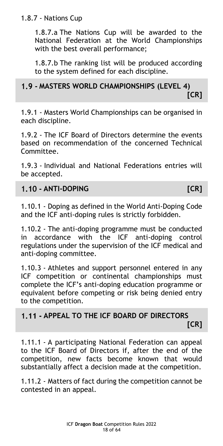1.8.7 - Nations Cup

1.8.7.a The Nations Cup will be awarded to the National Federation at the World Championships with the best overall performance;

1.8.7.b The ranking list will be produced according to the system defined for each discipline.

#### <span id="page-17-0"></span>**MASTERS WORLD CHAMPIONSHIPS (LEVEL 4) [CR]**

1.9.1 - Masters World Championships can be organised in each discipline.

1.9.2 - The ICF Board of Directors determine the events based on recommendation of the concerned Technical Committee.

1.9.3 - Individual and National Federations entries will be accepted.

#### <span id="page-17-1"></span>**ANTI-DOPING [CR]**

1.10.1 - Doping as defined in the World Anti-Doping Code and the ICF anti-doping rules is strictly forbidden.

1.10.2 - The anti-doping programme must be conducted in accordance with the ICF anti-doping control regulations under the supervision of the ICF medical and anti-doping committee.

1.10.3 - Athletes and support personnel entered in any ICF competition or continental championships must complete the ICF's anti-doping education programme or equivalent before competing or risk being denied entry to the competition.

#### <span id="page-17-2"></span>**1.11 - APPEAL TO THE ICF BOARD OF DIRECTORS [CR]**

1.11.1 - A participating National Federation can appeal to the ICF Board of Directors if, after the end of the competition, new facts become known that would substantially affect a decision made at the competition.

1.11.2 - Matters of fact during the competition cannot be contested in an appeal.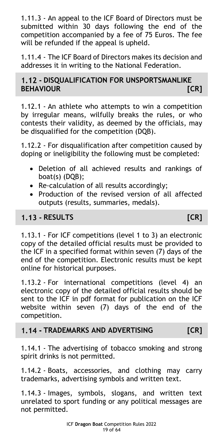1.11.3 - An appeal to the ICF Board of Directors must be submitted within 30 days following the end of the competition accompanied by a fee of 75 Euros. The fee will be refunded if the appeal is upheld.

1.11.4 - The ICF Board of Directors makes its decision and addresses it in writing to the National Federation.

#### <span id="page-18-0"></span>**1.12 - DISOUALIFICATION FOR UNSPORTSMANLIKE BEHAVIOUR [CR]**

1.12.1 - An athlete who attempts to win a competition by irregular means, wilfully breaks the rules, or who contests their validity, as deemed by the officials, may be disqualified for the competition (DQB).

1.12.2 - For disqualification after competition caused by doping or ineligibility the following must be completed:

- Deletion of all achieved results and rankings of boat(s) (DQB);
- Re-calculation of all results accordingly;
- Production of the revised version of all affected outputs (results, summaries, medals).

#### <span id="page-18-1"></span>**RESULTS [CR]**

1.13.1 - For ICF competitions (level 1 to 3) an electronic copy of the detailed official results must be provided to the ICF in a specified format within seven (7) days of the end of the competition. Electronic results must be kept online for historical purposes.

1.13.2 - For international competitions (level 4) an electronic copy of the detailed official results should be sent to the ICF in pdf format for publication on the ICF website within seven (7) days of the end of the competition.

#### <span id="page-18-2"></span>**TRADEMARKS AND ADVERTISING [CR]**

1.14.1 - The advertising of tobacco smoking and strong spirit drinks is not permitted.

1.14.2 - Boats, accessories, and clothing may carry trademarks, advertising symbols and written text.

1.14.3 - Images, symbols, slogans, and written text unrelated to sport funding or any political messages are not permitted.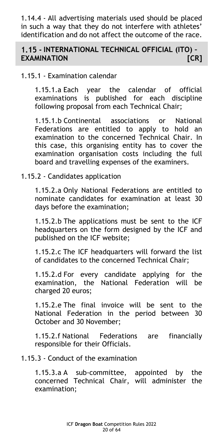1.14.4 - All advertising materials used should be placed in such a way that they do not interfere with athletes' identification and do not affect the outcome of the race.

#### <span id="page-19-0"></span>**INTERNATIONAL TECHNICAL OFFICIAL (ITO) – EXAMINATION [CR]**

#### 1.15.1 - Examination calendar

1.15.1.a Each year the calendar of official examinations is published for each discipline following proposal from each Technical Chair;

1.15.1.b Continental associations or National Federations are entitled to apply to hold an examination to the concerned Technical Chair. In this case, this organising entity has to cover the examination organisation costs including the full board and travelling expenses of the examiners.

#### 1.15.2 - Candidates application

1.15.2.a Only National Federations are entitled to nominate candidates for examination at least 30 days before the examination;

1.15.2.b The applications must be sent to the ICF headquarters on the form designed by the ICF and published on the ICF website;

1.15.2.c The ICF headquarters will forward the list of candidates to the concerned Technical Chair;

1.15.2.d For every candidate applying for the examination, the National Federation will be charged 20 euros;

1.15.2.e The final invoice will be sent to the National Federation in the period between 30 October and 30 November;

1.15.2.f National Federations are financially responsible for their Officials.

1.15.3 - Conduct of the examination

1.15.3.a A sub-committee, appointed by the concerned Technical Chair, will administer the examination;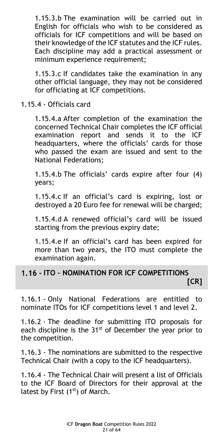1.15.3.b The examination will be carried out in English for officials who wish to be considered as officials for ICF competitions and will be based on their knowledge of the ICF statutes and the ICF rules. Each discipline may add a practical assessment or minimum experience requirement;

1.15.3.c If candidates take the examination in any other official language, they may not be considered for officiating at ICF competitions.

1.15.4 - Officials card

1.15.4.a After completion of the examination the concerned Technical Chair completes the ICF official examination report and sends it to the ICF headquarters, where the officials' cards for those who passed the exam are issued and sent to the National Federations;

1.15.4.b The officials' cards expire after four (4) years;

1.15.4.c If an official's card is expiring, lost or destroyed a 20 Euro fee for renewal will be charged;

1.15.4.d A renewed official's card will be issued starting from the previous expiry date;

1.15.4.e If an official's card has been expired for more than two years, the ITO must complete the examination again.

#### <span id="page-20-0"></span>**1.16 - ITO - NOMINATION FOR ICF COMPETITIONS [CR]**

1.16.1 - Only National Federations are entitled to nominate ITOs for ICF competitions level 1 and level 2.

1.16.2 - The deadline for submitting ITO proposals for each discipline is the  $31<sup>st</sup>$  of December the year prior to the competition.

1.16.3 - The nominations are submitted to the respective Technical Chair (with a copy to the ICF headquarters).

1.16.4 - The Technical Chair will present a list of Officials to the ICF Board of Directors for their approval at the latest by First  $(1<sup>st</sup>)$  of March.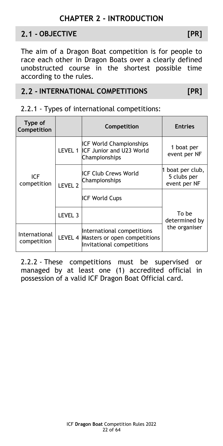### **CHAPTER 2 - INTRODUCTION**

#### <span id="page-21-1"></span><span id="page-21-0"></span>**OBJECTIVE [PR]**

The aim of a Dragon Boat competition is for people to race each other in Dragon Boats over a clearly defined unobstructed course in the shortest possible time according to the rules.

#### <span id="page-21-2"></span>**INTERNATIONAL COMPETITIONS [PR]**

2.2.1 - Types of international competitions:

#### **Type of Competition Competition Entries** ICF competition LEVEL 1 ICF World Championships ICF Junior and U23 World Championships 1 boat per event per NF LEVEL 2 ICF Club Crews World Championships 1 boat per club, 5 clubs per event per NF ICF World Cups To be determined by the organiser LEVEL 3 International competition | LEVEL 4 International competitions Masters or open competitions Invitational competitions

2.2.2 - These competitions must be supervised or managed by at least one (1) accredited official in

possession of a valid ICF Dragon Boat Official card.

ICF **Dragon Boat** Competition Rules 2022 22 of 64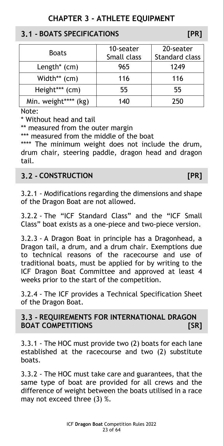### **CHAPTER 3 - ATHLETE EQUIPMENT**

#### <span id="page-22-1"></span><span id="page-22-0"></span>**BOATS SPECIFICATIONS [PR]**

| <b>Boats</b>         | 10-seater<br>Small class | 20-seater<br><b>Standard class</b> |
|----------------------|--------------------------|------------------------------------|
| Length $*$ (cm)      | 965                      | 1249                               |
| Width** (cm)         | 116                      | 116                                |
| Height*** (cm)       | 55                       | 55                                 |
| Min. weight**** (kg) | 140                      | 250                                |

Note:

\* Without head and tail

\*\* measured from the outer margin

\*\*\* measured from the middle of the boat

\*\*\*\* The minimum weight does not include the drum, drum chair, steering paddle, dragon head and dragon tail.

#### <span id="page-22-2"></span>**CONSTRUCTION [PR]**

3.2.1 - Modifications regarding the dimensions and shape of the Dragon Boat are not allowed.

3.2.2 - The "ICF Standard Class" and the "ICF Small Class" boat exists as a one-piece and two-piece version.

3.2.3 - A Dragon Boat in principle has a Dragonhead, a Dragon tail, a drum, and a drum chair. Exemptions due to technical reasons of the racecourse and use of traditional boats, must be applied for by writing to the ICF Dragon Boat Committee and approved at least 4 weeks prior to the start of the competition.

3.2.4 - The ICF provides a Technical Specification Sheet of the Dragon Boat.

#### <span id="page-22-3"></span>**REQUIREMENTS FOR INTERNATIONAL DRAGON BOAT COMPETITIONS [SR]**

3.3.1 - The HOC must provide two (2) boats for each lane established at the racecourse and two (2) substitute boats.

3.3.2 - The HOC must take care and guarantees, that the same type of boat are provided for all crews and the difference of weight between the boats utilised in a race may not exceed three (3) %.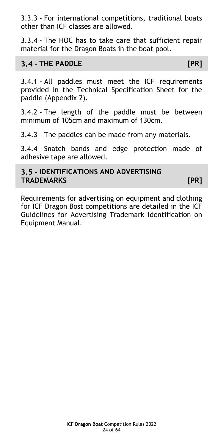3.3.3 - For international competitions, traditional boats other than ICF classes are allowed.

3.3.4 - The HOC has to take care that sufficient repair material for the Dragon Boats in the boat pool.

#### <span id="page-23-0"></span>**THE PADDLE [PR]**

3.4.1 - All paddles must meet the ICF requirements provided in the Technical Specification Sheet for the paddle (Appendix 2).

3.4.2 - The length of the paddle must be between minimum of 105cm and maximum of 130cm.

3.4.3 - The paddles can be made from any materials.

3.4.4 - Snatch bands and edge protection made of adhesive tape are allowed.

#### <span id="page-23-1"></span>**3.5 - IDENTIFICATIONS AND ADVERTISING TRADEMARKS [PR]**

Requirements for advertising on equipment and clothing for ICF Dragon Bost competitions are detailed in the ICF Guidelines for Advertising Trademark Identification on Equipment Manual.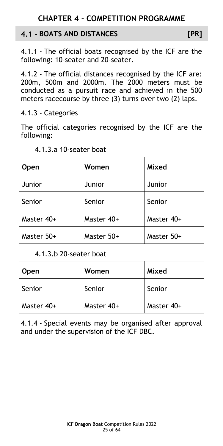#### <span id="page-24-1"></span><span id="page-24-0"></span>**BOATS AND DISTANCES [PR]**

4.1.1 - The official boats recognised by the ICF are the following: 10-seater and 20-seater.

4.1.2 - The official distances recognised by the ICF are: 200m, 500m and 2000m. The 2000 meters must be conducted as a pursuit race and achieved in the 500 meters racecourse by three (3) turns over two (2) laps.

4.1.3 - Categories

The official categories recognised by the ICF are the following:

|  |  |  |  |  |  |  | 4.1.3.a 10-seater boat |
|--|--|--|--|--|--|--|------------------------|
|--|--|--|--|--|--|--|------------------------|

| <b>Open</b> | Women      | <b>Mixed</b> |
|-------------|------------|--------------|
| Junior      | Junior     | Junior       |
| Senior      | Senior     | Senior       |
| Master 40+  | Master 40+ | Master 40+   |
| Master 50+  | Master 50+ | Master 50+   |

#### 4.1.3.b 20-seater boat

| <b>Open</b> | Women      | <b>Mixed</b> |
|-------------|------------|--------------|
| Senior      | Senior     | Senior       |
| Master 40+  | Master 40+ | Master 40+   |

4.1.4 - Special events may be organised after approval and under the supervision of the ICF DBC.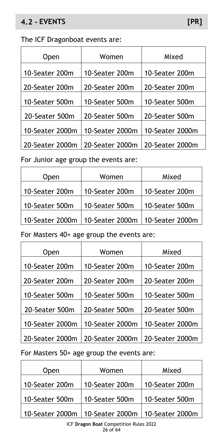### <span id="page-25-0"></span>**EVENTS [PR]**

The ICF Dragonboat events are:

| <b>Open</b>     | Women           | Mixed           |
|-----------------|-----------------|-----------------|
| 10-Seater 200m  | 10-Seater 200m  | 10-Seater 200m  |
| 20-Seater 200m  | 20-Seater 200m  | 20-Seater 200m  |
| 10-Seater 500m  | 10-Seater 500m  | 10-Seater 500m  |
| 20-Seater 500m  | 20-Seater 500m  | 20-Seater 500m  |
| 10-Seater 2000m | 10-Seater 2000m | 10-Seater 2000m |
| 20-Seater 2000m | 20-Seater 2000m | 20-Seater 2000m |

For Junior age group the events are:

| Open           | Women                                               | Mixed          |
|----------------|-----------------------------------------------------|----------------|
| 10-Seater 200m | 10-Seater 200m                                      | 10-Seater 200m |
| 10-Seater 500m | 10-Seater 500m                                      | 10-Seater 500m |
|                | 10-Seater 2000m   10-Seater 2000m   10-Seater 2000m |                |

For Masters 40+ age group the events are:

| Open            | Women           | Mixed           |  |
|-----------------|-----------------|-----------------|--|
| 10-Seater 200m  | 10-Seater 200m  | 10-Seater 200m  |  |
| 20-Seater 200m  | 20-Seater 200m  | 20-Seater 200m  |  |
| 10-Seater 500m  | 10-Seater 500m  | 10-Seater 500m  |  |
| 20-Seater 500m  | 20-Seater 500m  | 20-Seater 500m  |  |
| 10-Seater 2000m | 10-Seater 2000m | 10-Seater 2000m |  |
| 20-Seater 2000m | 20-Seater 2000m | 20-Seater 2000m |  |

For Masters 50+ age group the events are:

| Open           | Women                                               | Mixed          |
|----------------|-----------------------------------------------------|----------------|
| 10-Seater 200m | 10-Seater 200m                                      | 10-Seater 200m |
| 10-Seater 500m | 10-Seater 500m                                      | 10-Seater 500m |
|                | 10-Seater 2000m   10-Seater 2000m   10-Seater 2000m |                |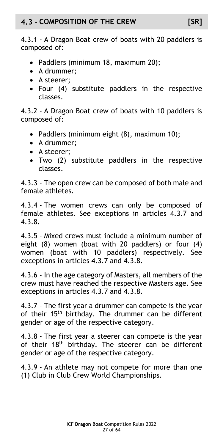<span id="page-26-0"></span>4.3.1 - A Dragon Boat crew of boats with 20 paddlers is composed of:

- Paddlers (minimum 18, maximum 20);
- A drummer;
- A steerer;
- Four (4) substitute paddlers in the respective classes.

4.3.2 - A Dragon Boat crew of boats with 10 paddlers is composed of:

- Paddlers (minimum eight (8), maximum 10);
- A drummer;
- A steerer;
- Two (2) substitute paddlers in the respective classes.

4.3.3 - The open crew can be composed of both male and female athletes.

4.3.4 - The women crews can only be composed of female athletes. See exceptions in articles 4.3.7 and 4.3.8.

4.3.5 - Mixed crews must include a minimum number of eight (8) women (boat with 20 paddlers) or four (4) women (boat with 10 paddlers) respectively. See exceptions in articles 4.3.7 and 4.3.8.

4.3.6 - In the age category of Masters, all members of the crew must have reached the respective Masters age. See exceptions in articles 4.3.7 and 4.3.8.

4.3.7 - The first year a drummer can compete is the year of their  $15<sup>th</sup>$  birthday. The drummer can be different gender or age of the respective category.

4.3.8 - The first year a steerer can compete is the year of their 18<sup>th</sup> birthday. The steerer can be different gender or age of the respective category.

4.3.9 - An athlete may not compete for more than one (1) Club in Club Crew World Championships.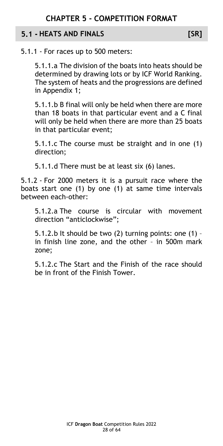#### <span id="page-27-1"></span><span id="page-27-0"></span>**HEATS AND FINALS [SR]**

5.1.1 - For races up to 500 meters:

5.1.1.a The division of the boats into heats should be determined by drawing lots or by ICF World Ranking. The system of heats and the progressions are defined in Appendix 1;

5.1.1.b B final will only be held when there are more than 18 boats in that particular event and a C final will only be held when there are more than 25 boats in that particular event;

5.1.1.c The course must be straight and in one (1) direction;

5.1.1.d There must be at least six (6) lanes.

5.1.2 - For 2000 meters it is a pursuit race where the boats start one (1) by one (1) at same time intervals between each-other:

5.1.2.a The course is circular with movement direction "anticlockwise";

5.1.2.b It should be two (2) turning points: one (1) – in finish line zone, and the other – in 500m mark zone;

5.1.2.c The Start and the Finish of the race should be in front of the Finish Tower.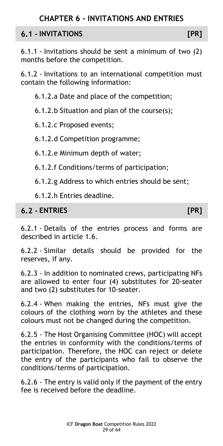#### <span id="page-28-1"></span><span id="page-28-0"></span>**INVITATIONS IPRI**

6.1.1 - Invitations should be sent a minimum of two (2) months before the competition.

6.1.2 - Invitations to an international competition must contain the following information:

6.1.2.a Date and place of the competition;

6.1.2.b Situation and plan of the course(s);

6.1.2.c Proposed events;

6.1.2.d Competition programme;

6.1.2.e Minimum depth of water;

6.1.2.f Conditions/terms of participation;

6.1.2.g Address to which entries should be sent;

6.1.2.h Entries deadline.

<span id="page-28-2"></span>**ENTRIES [PR]**

6.2.1 - Details of the entries process and forms are described in article 1.6.

6.2.2 - Similar details should be provided for the reserves, if any.

6.2.3 - In addition to nominated crews, participating NFs are allowed to enter four (4) substitutes for 20-seater and two (2) substitutes for 10-seater.

6.2.4 - When making the entries, NFs must give the colours of the clothing worn by the athletes and these colours must not be changed during the competition.

6.2.5 - The Host Organising Committee (HOC) will accept the entries in conformity with the conditions/terms of participation. Therefore, the HOC can reject or delete the entry of the participants who fail to observe the conditions/terms of participation.

6.2.6 - The entry is valid only if the payment of the entry fee is received before the deadline.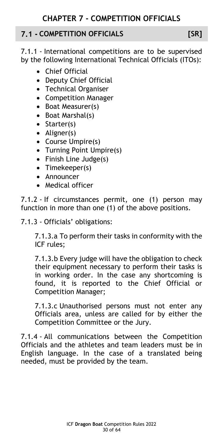#### <span id="page-29-1"></span><span id="page-29-0"></span>**COMPETITION OFFICIALS [SR]**

7.1.1 - International competitions are to be supervised by the following International Technical Officials (ITOs):

- Chief Official
- Deputy Chief Official
- Technical Organiser
- Competition Manager
- Boat Measurer(s)
- Boat Marshal(s)
- Starter(s)
- Aligner(s)
- Course Umpire(s)
- Turning Point Umpire(s)
- Finish Line Judge(s)
- Timekeeper(s)
- Announcer
- Medical officer

7.1.2 - If circumstances permit, one (1) person may function in more than one (1) of the above positions.

7.1.3 - Officials' obligations:

7.1.3.a To perform their tasks in conformity with the ICF rules;

7.1.3.b Every judge will have the obligation to check their equipment necessary to perform their tasks is in working order. In the case any shortcoming is found, it is reported to the Chief Official or Competition Manager;

7.1.3.c Unauthorised persons must not enter any Officials area, unless are called for by either the Competition Committee or the Jury.

7.1.4 - All communications between the Competition Officials and the athletes and team leaders must be in English language. In the case of a translated being needed, must be provided by the team.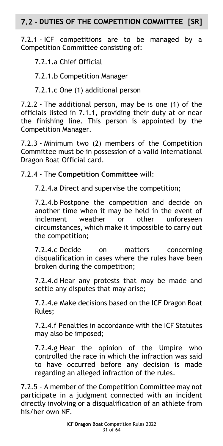### <span id="page-30-0"></span>**DUTIES OF THE COMPETITION COMMITTEE [SR]**

7.2.1 - ICF competitions are to be managed by a Competition Committee consisting of:

7.2.1.a Chief Official

7.2.1.b Competition Manager

7.2.1.c One (1) additional person

7.2.2 - The additional person, may be is one (1) of the officials listed in 7.1.1, providing their duty at or near the finishing line. This person is appointed by the Competition Manager.

7.2.3 - Minimum two (2) members of the Competition Committee must be in possession of a valid International Dragon Boat Official card.

7.2.4 - The **Competition Committee** will:

7.2.4.a Direct and supervise the competition;

7.2.4.b Postpone the competition and decide on another time when it may be held in the event of inclement weather or other unforeseen circumstances, which make it impossible to carry out the competition;

7.2.4.c Decide on matters concerning disqualification in cases where the rules have been broken during the competition;

7.2.4.d Hear any protests that may be made and settle any disputes that may arise;

7.2.4.e Make decisions based on the ICF Dragon Boat Rules;

7.2.4.f Penalties in accordance with the ICF Statutes may also be imposed;

7.2.4.g Hear the opinion of the Umpire who controlled the race in which the infraction was said to have occurred before any decision is made regarding an alleged infraction of the rules.

7.2.5 - A member of the Competition Committee may not participate in a judgment connected with an incident directly involving or a disqualification of an athlete from his/her own NF.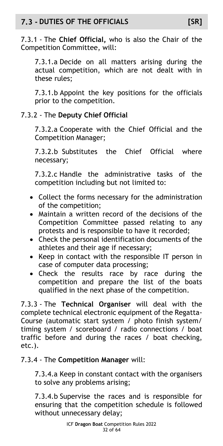<span id="page-31-0"></span>7.3.1 - The **Chief Official,** who is also the Chair of the Competition Committee, will:

7.3.1.a Decide on all matters arising during the actual competition, which are not dealt with in these rules;

7.3.1.b Appoint the key positions for the officials prior to the competition.

#### 7.3.2 - The **Deputy Chief Official**

7.3.2.a Cooperate with the Chief Official and the Competition Manager;

7.3.2.b Substitutes the Chief Official where necessary;

7.3.2.c Handle the administrative tasks of the competition including but not limited to:

- Collect the forms necessary for the administration of the competition;
- Maintain a written record of the decisions of the Competition Committee passed relating to any protests and is responsible to have it recorded;
- Check the personal identification documents of the athletes and their age if necessary;
- Keep in contact with the responsible IT person in case of computer data processing;
- Check the results race by race during the competition and prepare the list of the boats qualified in the next phase of the competition.

7.3.3 - The **Technical Organiser** will deal with the complete technical electronic equipment of the Regatta-Course (automatic start system / photo finish system/ timing system / scoreboard / radio connections / boat traffic before and during the races / boat checking, etc.).

#### 7.3.4 - The **Competition Manager** will:

7.3.4.a Keep in constant contact with the organisers to solve any problems arising;

7.3.4.b Supervise the races and is responsible for ensuring that the competition schedule is followed without unnecessary delay;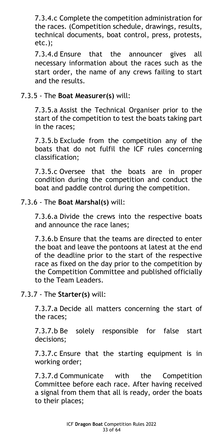7.3.4.c Complete the competition administration for the races. (Competition schedule, drawings, results, technical documents, boat control, press, protests, etc.);

7.3.4.d Ensure that the announcer gives all necessary information about the races such as the start order, the name of any crews failing to start and the results.

#### 7.3.5 - The **Boat Measurer(s)** will:

7.3.5.a Assist the Technical Organiser prior to the start of the competition to test the boats taking part in the races;

7.3.5.b Exclude from the competition any of the boats that do not fulfil the ICF rules concerning classification;

7.3.5.c Oversee that the boats are in proper condition during the competition and conduct the boat and paddle control during the competition.

#### 7.3.6 - The **Boat Marshal(s)** will:

7.3.6.a Divide the crews into the respective boats and announce the race lanes;

7.3.6.b Ensure that the teams are directed to enter the boat and leave the pontoons at latest at the end of the deadline prior to the start of the respective race as fixed on the day prior to the competition by the Competition Committee and published officially to the Team Leaders.

#### 7.3.7 - The **Starter(s)** will:

7.3.7.a Decide all matters concerning the start of the races;

7.3.7.b Be solely responsible for false start decisions;

7.3.7.c Ensure that the starting equipment is in working order;

7.3.7.d Communicate with the Competition Committee before each race. After having received a signal from them that all is ready, order the boats to their places;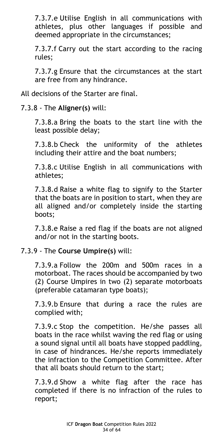7.3.7.e Utilise English in all communications with athletes, plus other languages if possible and deemed appropriate in the circumstances;

7.3.7.f Carry out the start according to the racing rules;

7.3.7.g Ensure that the circumstances at the start are free from any hindrance.

All decisions of the Starter are final.

7.3.8 - The **Aligner(s)** will:

7.3.8.a Bring the boats to the start line with the least possible delay;

7.3.8.b Check the uniformity of the athletes including their attire and the boat numbers;

7.3.8.c Utilise English in all communications with athletes;

7.3.8.d Raise a white flag to signify to the Starter that the boats are in position to start, when they are all aligned and/or completely inside the starting boots;

7.3.8.e Raise a red flag if the boats are not aligned and/or not in the starting boots.

#### 7.3.9 - The **Course Umpire(s)** will:

7.3.9.a Follow the 200m and 500m races in a motorboat. The races should be accompanied by two (2) Course Umpires in two (2) separate motorboats (preferable catamaran type boats);

7.3.9.b Ensure that during a race the rules are complied with;

7.3.9.c Stop the competition. He/she passes all boats in the race whilst waving the red flag or using a sound signal until all boats have stopped paddling, in case of hindrances. He/she reports immediately the infraction to the Competition Committee. After that all boats should return to the start;

7.3.9.d Show a white flag after the race has completed if there is no infraction of the rules to report;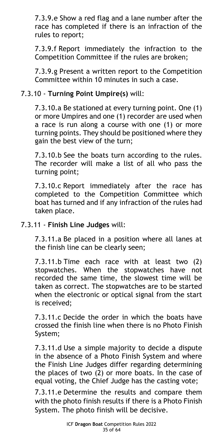7.3.9.e Show a red flag and a lane number after the race has completed if there is an infraction of the rules to report;

7.3.9.f Report immediately the infraction to the Competition Committee if the rules are broken;

7.3.9.g Present a written report to the Competition Committee within 10 minutes in such a case.

#### 7.3.10 - **Turning Point Umpire(s)** will:

7.3.10.a Be stationed at every turning point. One (1) or more Umpires and one (1) recorder are used when a race is run along a course with one (1) or more turning points. They should be positioned where they gain the best view of the turn;

7.3.10.b See the boats turn according to the rules. The recorder will make a list of all who pass the turning point;

7.3.10.c Report immediately after the race has completed to the Competition Committee which boat has turned and if any infraction of the rules had taken place.

#### 7.3.11 - **Finish Line Judges** will:

7.3.11.a Be placed in a position where all lanes at the finish line can be clearly seen;

7.3.11.b Time each race with at least two (2) stopwatches. When the stopwatches have not recorded the same time, the slowest time will be taken as correct. The stopwatches are to be started when the electronic or optical signal from the start is received;

7.3.11.c Decide the order in which the boats have crossed the finish line when there is no Photo Finish System;

7.3.11.d Use a simple majority to decide a dispute in the absence of a Photo Finish System and where the Finish Line Judges differ regarding determining the places of two (2) or more boats. In the case of equal voting, the Chief Judge has the casting vote;

7.3.11.e Determine the results and compare them with the photo finish results if there is a Photo Finish System. The photo finish will be decisive.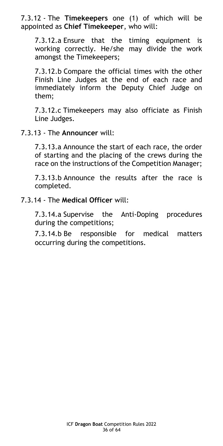7.3.12 - The **Timekeepers** one (1) of which will be appointed as **Chief Timekeeper**, who will:

7.3.12.a Ensure that the timing equipment is working correctly. He/she may divide the work amongst the Timekeepers;

7.3.12.b Compare the official times with the other Finish Line Judges at the end of each race and immediately inform the Deputy Chief Judge on them;

7.3.12.c Timekeepers may also officiate as Finish Line Judges.

#### 7.3.13 - The **Announcer** will:

7.3.13.a Announce the start of each race, the order of starting and the placing of the crews during the race on the instructions of the Competition Manager;

7.3.13.b Announce the results after the race is completed.

7.3.14 - The **Medical Officer** will:

7.3.14.a Supervise the Anti-Doping procedures during the competitions;

7.3.14.b Be responsible for medical matters occurring during the competitions.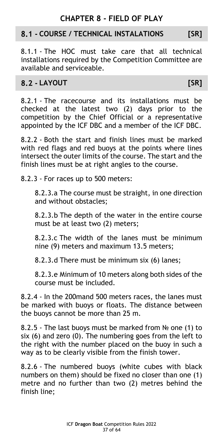#### **CHAPTER 8 - FIELD OF PLAY**

#### <span id="page-36-1"></span><span id="page-36-0"></span>**COURSE / TECHNICAL INSTALATIONS [SR]**

8.1.1 - The HOC must take care that all technical installations required by the Competition Committee are available and serviceable.

#### <span id="page-36-2"></span>**LAYOUT [SR]**

8.2.1 - The racecourse and its installations must be checked at the latest two (2) days prior to the competition by the Chief Official or a representative appointed by the ICF DBC and a member of the ICF DBC.

8.2.2 - Both the start and finish lines must be marked with red flags and red buoys at the points where lines intersect the outer limits of the course. The start and the finish lines must be at right angles to the course.

8.2.3 - For races up to 500 meters:

8.2.3.a The course must be straight, in one direction and without obstacles;

8.2.3.b The depth of the water in the entire course must be at least two (2) meters;

8.2.3.c The width of the lanes must be minimum nine (9) meters and maximum 13.5 meters;

8.2.3.d There must be minimum six (6) lanes;

8.2.3.e Minimum of 10 meters along both sides of the course must be included.

8.2.4 - In the 200mand 500 meters races, the lanes must be marked with buoys or floats. The distance between the buoys cannot be more than 25 m.

8.2.5 - The last buoys must be marked from № one (1) to six (6) and zero (0). The numbering goes from the left to the right with the number placed on the buoy in such a way as to be clearly visible from the finish tower.

8.2.6 - The numbered buoys (white cubes with black numbers on them) should be fixed no closer than one (1) metre and no further than two (2) metres behind the finish line;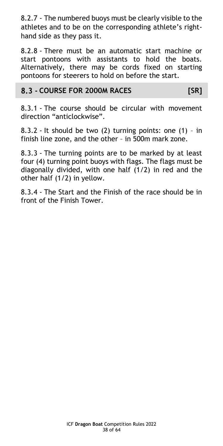8.2.7 - The numbered buoys must be clearly visible to the athletes and to be on the corresponding athlete's righthand side as they pass it.

8.2.8 - There must be an automatic start machine or start pontoons with assistants to hold the boats. Alternatively, there may be cords fixed on starting pontoons for steerers to hold on before the start.

#### <span id="page-37-0"></span>**COURSE FOR 2000M RACES [SR]**

8.3.1 - The course should be circular with movement direction "anticlockwise".

8.3.2 - It should be two  $(2)$  turning points: one  $(1)$  - in finish line zone, and the other – in 500m mark zone.

8.3.3 - The turning points are to be marked by at least four (4) turning point buoys with flags. The flags must be diagonally divided, with one half (1/2) in red and the other half (1/2) in yellow.

8.3.4 - The Start and the Finish of the race should be in front of the Finish Tower.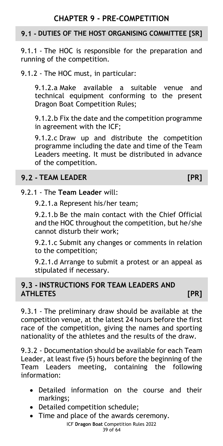#### **CHAPTER 9 - PRE-COMPETITION**

#### <span id="page-38-1"></span><span id="page-38-0"></span>**DUTIES OF THE HOST ORGANISING COMMITTEE [SR]**

9.1.1 - The HOC is responsible for the preparation and running of the competition.

#### 9.1.2 - The HOC must, in particular:

9.1.2.a Make available a suitable venue and technical equipment conforming to the present Dragon Boat Competition Rules;

9.1.2.b Fix the date and the competition programme in agreement with the ICF;

9.1.2.c Draw up and distribute the competition programme including the date and time of the Team Leaders meeting. It must be distributed in advance of the competition.

#### <span id="page-38-2"></span>**TEAM LEADER [PR]**

9.2.1 - The **Team Leader** will:

9.2.1.a Represent his/her team;

9.2.1.b Be the main contact with the Chief Official and the HOC throughout the competition, but he/she cannot disturb their work;

9.2.1.c Submit any changes or comments in relation to the competition;

9.2.1.d Arrange to submit a protest or an appeal as stipulated if necessary.

#### <span id="page-38-3"></span>**9.3 - INSTRUCTIONS FOR TEAM LEADERS AND ATHLETES [PR]**

9.3.1 - The preliminary draw should be available at the competition venue, at the latest 24 hours before the first race of the competition, giving the names and sporting nationality of the athletes and the results of the draw.

9.3.2 - Documentation should be available for each Team Leader, at least five (5) hours before the beginning of the Team Leaders meeting, containing the following information:

- Detailed information on the course and their markings;
- Detailed competition schedule;
- ICF **Dragon Boat** Competition Rules 2022 • Time and place of the awards ceremony.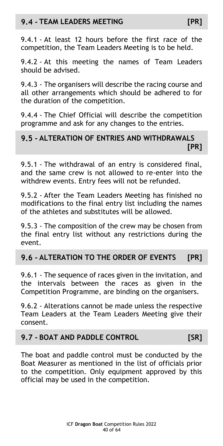<span id="page-39-0"></span>9.4.1 - At least 12 hours before the first race of the competition, the Team Leaders Meeting is to be held.

9.4.2 - At this meeting the names of Team Leaders should be advised.

9.4.3 - The organisers will describe the racing course and all other arrangements which should be adhered to for the duration of the competition.

9.4.4 - The Chief Official will describe the competition programme and ask for any changes to the entries.

#### <span id="page-39-1"></span>**ALTERATION OF ENTRIES AND WITHDRAWALS [PR]**

9.5.1 - The withdrawal of an entry is considered final, and the same crew is not allowed to re-enter into the withdrew events. Entry fees will not be refunded.

9.5.2 - After the Team Leaders Meeting has finished no modifications to the final entry list including the names of the athletes and substitutes will be allowed.

9.5.3 - The composition of the crew may be chosen from the final entry list without any restrictions during the event.

### <span id="page-39-2"></span>**ALTERATION TO THE ORDER OF EVENTS [PR]**

9.6.1 - The sequence of races given in the invitation, and the intervals between the races as given in the Competition Programme, are binding on the organisers.

9.6.2 - Alterations cannot be made unless the respective Team Leaders at the Team Leaders Meeting give their consent.

### <span id="page-39-3"></span>**BOAT AND PADDLE CONTROL [SR]**

The boat and paddle control must be conducted by the Boat Measurer as mentioned in the list of officials prior to the competition. Only equipment approved by this official may be used in the competition.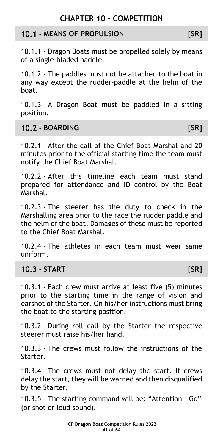#### <span id="page-40-1"></span><span id="page-40-0"></span>**MEANS OF PROPULSION [SR]**

10.1.1 - Dragon Boats must be propelled solely by means of a single-bladed paddle.

10.1.2 - The paddles must not be attached to the boat in any way except the rudder-paddle at the helm of the boat.

10.1.3 - A Dragon Boat must be paddled in a sitting position.

#### <span id="page-40-2"></span>**BOARDING [SR]**

10.2.1 - After the call of the Chief Boat Marshal and 20 minutes prior to the official starting time the team must notify the Chief Boat Marshal.

10.2.2 - After this timeline each team must stand prepared for attendance and ID control by the Boat Marshal.

10.2.3 - The steerer has the duty to check in the Marshalling area prior to the race the rudder paddle and the helm of the boat. Damages of these must be reported to the Chief Boat Marshal.

10.2.4 - The athletes in each team must wear same uniform.

<span id="page-40-3"></span>**START [SR]**

10.3.1 - Each crew must arrive at least five (5) minutes prior to the starting time in the range of vision and earshot of the Starter. On his/her instructions must bring the boat to the starting position.

10.3.2 - During roll call by the Starter the respective steerer must raise his/her hand.

10.3.3 - The crews must follow the instructions of the Starter.

10.3.4 - The crews must not delay the start. If crews delay the start, they will be warned and then disqualified by the Starter.

10.3.5 - The starting command will be: "Attention - Go" (or shot or loud sound).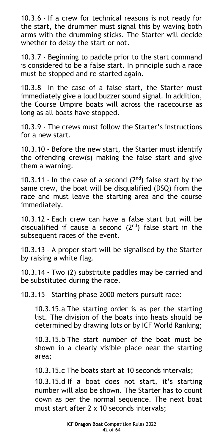10.3.6 - If a crew for technical reasons is not ready for the start, the drummer must signal this by waving both arms with the drumming sticks. The Starter will decide whether to delay the start or not.

10.3.7 - Beginning to paddle prior to the start command is considered to be a false start. In principle such a race must be stopped and re-started again.

10.3.8 - In the case of a false start, the Starter must immediately give a loud buzzer sound signal. In addition, the Course Umpire boats will across the racecourse as long as all boats have stopped.

10.3.9 - The crews must follow the Starter's instructions for a new start.

10.3.10 - Before the new start, the Starter must identify the offending crew(s) making the false start and give them a warning.

10.3.11 - In the case of a second  $(2^{nd})$  false start by the same crew, the boat will be disqualified (DSQ) from the race and must leave the starting area and the course immediately.

10.3.12 - Each crew can have a false start but will be disqualified if cause a second  $(2<sup>nd</sup>)$  false start in the subsequent races of the event.

10.3.13 - A proper start will be signalised by the Starter by raising a white flag.

10.3.14 - Two (2) substitute paddles may be carried and be substituted during the race.

10.3.15 - Starting phase 2000 meters pursuit race:

10.3.15.a The starting order is as per the starting list. The division of the boats into heats should be determined by drawing lots or by ICF World Ranking;

10.3.15.b The start number of the boat must be shown in a clearly visible place near the starting area;

10.3.15.c The boats start at 10 seconds intervals;

10.3.15.d If a boat does not start, it's starting number will also be shown. The Starter has to count down as per the normal sequence. The next boat must start after 2 x 10 seconds intervals;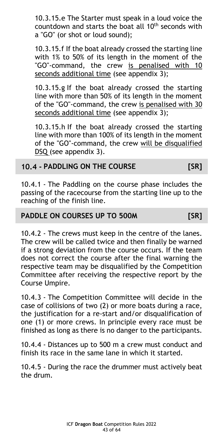ICF **Dragon Boat** Competition Rules 2022 43 of 64

finish its race in the same lane in which it started. 10.4.5 - During the race the drummer must actively beat the drum.

10.4.4 - Distances up to 500 m a crew must conduct and

10.4.3 - The Competition Committee will decide in the case of collisions of two (2) or more boats during a race, the justification for a re-start and/or disqualification of one (1) or more crews. In principle every race must be finished as long as there is no danger to the participants.

10.4.2 - The crews must keep in the centre of the lanes. The crew will be called twice and then finally be warned if a strong deviation from the course occurs. If the team does not correct the course after the final warning the respective team may be disqualified by the Competition Committee after receiving the respective report by the Course Umpire.

<span id="page-42-1"></span>passing of the racecourse from the starting line up to the reaching of the finish line. **PADDLE ON COURSES UP TO 500M [SR]**

10.4.1 - The Paddling on the course phase includes the

#### <span id="page-42-0"></span>**PADDLING ON THE COURSE [SR]**

DSQ (see appendix 3).

10.3.15.g If the boat already crossed the starting line with more than 50% of its length in the moment of the "GO"-command, the crew is penalised with 30 seconds additional time (see appendix 3);

10.3.15.h If the boat already crossed the starting line with more than 100% of its length in the moment

of the "GO"-command, the crew will be disqualified

a "GO" (or shot or loud sound); 10.3.15.f If the boat already crossed the starting line with 1% to 50% of its length in the moment of the

"GO"-command, the crew is penalised with 10

seconds additional time (see appendix 3);

10.3.15.e The Starter must speak in a loud voice the countdown and starts the boat all 10<sup>th</sup> seconds with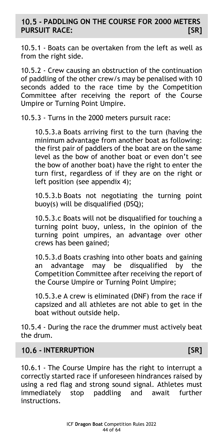#### <span id="page-43-0"></span>**PADDLING ON THE COURSE FOR 2000 METERS PURSUIT RACE:** *CONSUIT RACE:*

10.5.1 - Boats can be overtaken from the left as well as from the right side.

10.5.2 - Crew causing an obstruction of the continuation of paddling of the other crew/s may be penalised with 10 seconds added to the race time by the Competition Committee after receiving the report of the Course Umpire or Turning Point Umpire.

10.5.3 - Turns in the 2000 meters pursuit race:

10.5.3.a Boats arriving first to the turn (having the minimum advantage from another boat as following: the first pair of paddlers of the boat are on the same level as the bow of another boat or even don't see the bow of another boat) have the right to enter the turn first, regardless of if they are on the right or left position (see appendix 4);

10.5.3.b Boats not negotiating the turning point buoy(s) will be disqualified (DSQ);

10.5.3.c Boats will not be disqualified for touching a turning point buoy, unless, in the opinion of the turning point umpires, an advantage over other crews has been gained;

10.5.3.d Boats crashing into other boats and gaining an advantage may be disqualified by the Competition Committee after receiving the report of the Course Umpire or Turning Point Umpire;

10.5.3.e A crew is eliminated (DNF) from the race if capsized and all athletes are not able to get in the boat without outside help.

10.5.4 - During the race the drummer must actively beat the drum.

#### <span id="page-43-1"></span>**INTERRUPTION [SR]**

10.6.1 - The Course Umpire has the right to interrupt a correctly started race if unforeseen hindrances raised by using a red flag and strong sound signal. Athletes must immediately stop paddling and await further instructions.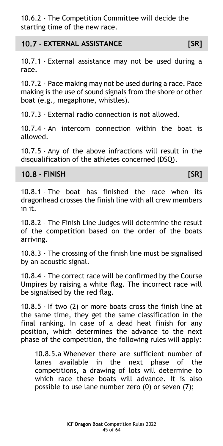10.6.2 - The Competition Committee will decide the starting time of the new race.

#### <span id="page-44-0"></span>**EXTERNAL ASSISTANCE [SR]**

10.7.1 - External assistance may not be used during a race.

10.7.2 - Pace making may not be used during a race. Pace making is the use of sound signals from the shore or other boat (e.g., megaphone, whistles).

10.7.3 - External radio connection is not allowed.

10.7.4 - An intercom connection within the boat is allowed.

10.7.5 - Any of the above infractions will result in the disqualification of the athletes concerned (DSQ).

<span id="page-44-1"></span>**FINISH [SR]**

10.8.1 - The boat has finished the race when its dragonhead crosses the finish line with all crew members in it.

10.8.2 - The Finish Line Judges will determine the result of the competition based on the order of the boats arriving.

10.8.3 - The crossing of the finish line must be signalised by an acoustic signal.

10.8.4 - The correct race will be confirmed by the Course Umpires by raising a white flag. The incorrect race will be signalised by the red flag.

10.8.5 - If two (2) or more boats cross the finish line at the same time, they get the same classification in the final ranking. In case of a dead heat finish for any position, which determines the advance to the next phase of the competition, the following rules will apply:

10.8.5.a Whenever there are sufficient number of lanes available in the next phase of the competitions, a drawing of lots will determine to which race these boats will advance. It is also possible to use lane number zero (0) or seven (7);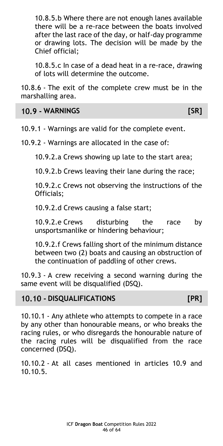10.8.5.b Where there are not enough lanes available there will be a re-race between the boats involved after the last race of the day, or half-day programme or drawing lots. The decision will be made by the Chief official;

10.8.5.c In case of a dead heat in a re-race, drawing of lots will determine the outcome.

10.8.6 - The exit of the complete crew must be in the marshalling area.

#### <span id="page-45-0"></span>**WARNINGS [SR]**

10.9.1 - Warnings are valid for the complete event.

10.9.2 - Warnings are allocated in the case of:

10.9.2.a Crews showing up late to the start area;

10.9.2.b Crews leaving their lane during the race;

10.9.2.c Crews not observing the instructions of the Officials;

10.9.2.d Crews causing a false start;

10.9.2.e Crews disturbing the race by unsportsmanlike or hindering behaviour;

10.9.2.f Crews falling short of the minimum distance between two (2) boats and causing an obstruction of the continuation of paddling of other crews.

10.9.3 - A crew receiving a second warning during the same event will be disqualified (DSQ).

#### <span id="page-45-1"></span>**DISQUALIFICATIONS [PR]**

10.10.1 - Any athlete who attempts to compete in a race by any other than honourable means, or who breaks the racing rules, or who disregards the honourable nature of the racing rules will be disqualified from the race concerned (DSQ).

10.10.2 - At all cases mentioned in articles 10.9 and 10.10.5.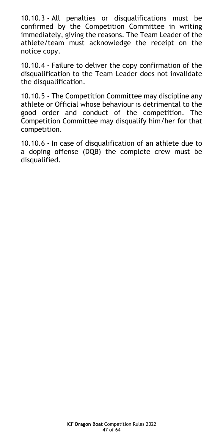10.10.3 - All penalties or disqualifications must be confirmed by the Competition Committee in writing immediately, giving the reasons. The Team Leader of the athlete/team must acknowledge the receipt on the notice copy.

10.10.4 - Failure to deliver the copy confirmation of the disqualification to the Team Leader does not invalidate the disqualification.

10.10.5 - The Competition Committee may discipline any athlete or Official whose behaviour is detrimental to the good order and conduct of the competition. The Competition Committee may disqualify him/her for that competition.

10.10.6 - In case of disqualification of an athlete due to a doping offense (DQB) the complete crew must be disqualified.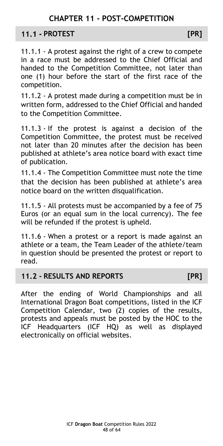#### **CHAPTER 11 - POST-COMPETITION**

#### <span id="page-47-1"></span><span id="page-47-0"></span>**PROTEST [PR]**

11.1.1 - A protest against the right of a crew to compete in a race must be addressed to the Chief Official and handed to the Competition Committee, not later than one (1) hour before the start of the first race of the competition.

11.1.2 - A protest made during a competition must be in written form, addressed to the Chief Official and handed to the Competition Committee.

11.1.3 - If the protest is against a decision of the Competition Committee, the protest must be received not later than 20 minutes after the decision has been published at athlete's area notice board with exact time of publication.

11.1.4 - The Competition Committee must note the time that the decision has been published at athlete's area notice board on the written disqualification.

11.1.5 - All protests must be accompanied by a fee of 75 Euros (or an equal sum in the local currency). The fee will be refunded if the protest is upheld.

11.1.6 - When a protest or a report is made against an athlete or a team, the Team Leader of the athlete/team in question should be presented the protest or report to read.

#### <span id="page-47-2"></span>**RESULTS AND REPORTS [PR]**

After the ending of World Championships and all International Dragon Boat competitions, listed in the ICF Competition Calendar, two (2) copies of the results, protests and appeals must be posted by the HOC to the ICF Headquarters (ICF HQ) as well as displayed electronically on official websites.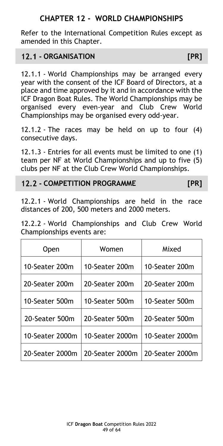#### <span id="page-48-0"></span>**CHAPTER 12 - WORLD CHAMPIONSHIPS**

Refer to the International Competition Rules except as amended in this Chapter.

#### <span id="page-48-1"></span>**ORGANISATION [PR]**

12.1.1 - World Championships may be arranged every year with the consent of the ICF Board of Directors, at a place and time approved by it and in accordance with the ICF Dragon Boat Rules. The World Championships may be organised every even-year and Club Crew World Championships may be organised every odd-year.

12.1.2 - The races may be held on up to four (4) consecutive days.

12.1.3 - Entries for all events must be limited to one (1) team per NF at World Championships and up to five (5) clubs per NF at the Club Crew World Championships.

#### <span id="page-48-2"></span>**COMPETITION PROGRAMME [PR]**

12.2.1 - World Championships are held in the race distances of 200, 500 meters and 2000 meters.

12.2.2 - World Championships and Club Crew World Championships events are:

| Open            | Women           | Mixed           |  |
|-----------------|-----------------|-----------------|--|
| 10-Seater 200m  | 10-Seater 200m  | 10-Seater 200m  |  |
| 20-Seater 200m  | 20-Seater 200m  | 20-Seater 200m  |  |
| 10-Seater 500m  | 10-Seater 500m  | 10-Seater 500m  |  |
| 20-Seater 500m  | 20-Seater 500m  | 20-Seater 500m  |  |
| 10-Seater 2000m | 10-Seater 2000m | 10-Seater 2000m |  |
| 20-Seater 2000m | 20-Seater 2000m | 20-Seater 2000m |  |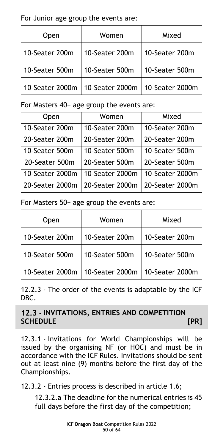#### For Junior age group the events are:

| <b>Open</b>    | Women                                               | Mixed          |
|----------------|-----------------------------------------------------|----------------|
| 10-Seater 200m | 10-Seater 200m                                      | 10-Seater 200m |
| 10-Seater 500m | 10-Seater 500m                                      | 10-Seater 500m |
|                | 10-Seater 2000m   10-Seater 2000m   10-Seater 2000m |                |

For Masters 40+ age group the events are:

| Open            | Women           | Mixed           |
|-----------------|-----------------|-----------------|
| 10-Seater 200m  | 10-Seater 200m  | 10-Seater 200m  |
| 20-Seater 200m  | 20-Seater 200m  | 20-Seater 200m  |
| 10-Seater 500m  | 10-Seater 500m  | 10-Seater 500m  |
| 20-Seater 500m  | 20-Seater 500m  | 20-Seater 500m  |
| 10-Seater 2000m | 10-Seater 2000m | 10-Seater 2000m |
| 20-Seater 2000m | 20-Seater 2000m | 20-Seater 2000m |

For Masters 50+ age group the events are:

| <b>Open</b>    | Women                                               | Mixed          |
|----------------|-----------------------------------------------------|----------------|
| 10-Seater 200m | 10-Seater 200m                                      | 10-Seater 200m |
| 10-Seater 500m | 10-Seater 500m                                      | 10-Seater 500m |
|                | 10-Seater 2000m   10-Seater 2000m   10-Seater 2000m |                |

12.2.3 - The order of the events is adaptable by the ICF DBC.

#### <span id="page-49-0"></span>**12.3 - INVITATIONS, ENTRIES AND COMPETITION SCHEDULE [PR]**

12.3.1 - Invitations for World Championships will be issued by the organising NF (or HOC) and must be in accordance with the ICF Rules. Invitations should be sent out at least nine (9) months before the first day of the Championships.

12.3.2 - Entries process is described in article 1.6;

12.3.2.a The deadline for the numerical entries is 45 full days before the first day of the competition;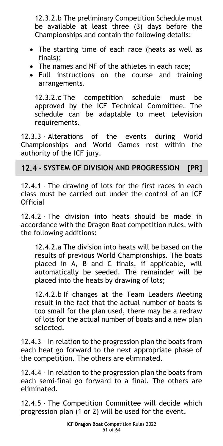12.3.2.b The preliminary Competition Schedule must be available at least three (3) days before the Championships and contain the following details:

- The starting time of each race (heats as well as finals);
- The names and NF of the athletes in each race;
- Full instructions on the course and training arrangements.

12.3.2.c The competition schedule must be approved by the ICF Technical Committee. The schedule can be adaptable to meet television requirements.

12.3.3 - Alterations of the events during World Championships and World Games rest within the authority of the ICF jury.

### <span id="page-50-0"></span>**SYSTEM OF DIVISION AND PROGRESSION [PR]**

12.4.1 - The drawing of lots for the first races in each class must be carried out under the control of an ICF **Official** 

12.4.2 - The division into heats should be made in accordance with the Dragon Boat competition rules, with the following additions:

12.4.2.a The division into heats will be based on the results of previous World Championships. The boats placed in A, B and C finals, if applicable, will automatically be seeded. The remainder will be placed into the heats by drawing of lots;

12.4.2.b If changes at the Team Leaders Meeting result in the fact that the actual number of boats is too small for the plan used, there may be a redraw of lots for the actual number of boats and a new plan selected.

12.4.3 - In relation to the progression plan the boats from each heat go forward to the next appropriate phase of the competition. The others are eliminated.

12.4.4 - In relation to the progression plan the boats from each semi-final go forward to a final. The others are eliminated.

12.4.5 - The Competition Committee will decide which progression plan (1 or 2) will be used for the event.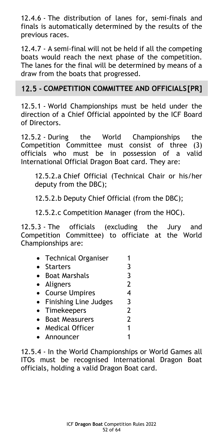12.4.6 - The distribution of lanes for, semi-finals and finals is automatically determined by the results of the previous races.

12.4.7 - A semi-final will not be held if all the competing boats would reach the next phase of the competition. The lanes for the final will be determined by means of a draw from the boats that progressed.

#### <span id="page-51-0"></span>**COMPETITION COMMITTEE AND OFFICIALS[PR]**

12.5.1 - World Championships must be held under the direction of a Chief Official appointed by the ICF Board of Directors.

12.5.2 - During the World Championships the Competition Committee must consist of three (3) officials who must be in possession of a valid International Official Dragon Boat card. They are:

12.5.2.a Chief Official (Technical Chair or his/her deputy from the DBC);

12.5.2.b Deputy Chief Official (from the DBC);

12.5.2.c Competition Manager (from the HOC).

12.5.3 - The officials (excluding the Jury and Competition Committee) to officiate at the World Championships are:

|           | <b>Technical Organiser</b> |                |
|-----------|----------------------------|----------------|
|           | <b>Starters</b>            | 3              |
|           | <b>Boat Marshals</b>       | 3              |
| $\bullet$ | Aligners                   | $\overline{2}$ |
|           | <b>Course Umpires</b>      | 4              |
|           | • Finishing Line Judges    | 3              |
|           | Timekeepers                | $\overline{2}$ |
|           | <b>Boat Measurers</b>      | $\overline{2}$ |
|           | • Medical Officer          | 1              |
|           | Announcer                  |                |

12.5.4 - In the World Championships or World Games all ITOs must be recognised International Dragon Boat officials, holding a valid Dragon Boat card.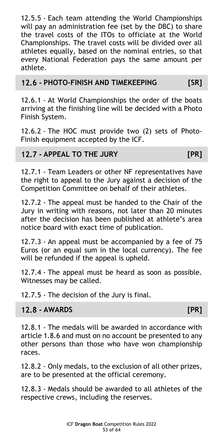12.5.5 - Each team attending the World Championships will pay an administration fee (set by the DBC) to share the travel costs of the ITOs to officiate at the World Championships. The travel costs will be divided over all athletes equally, based on the nominal entries, so that every National Federation pays the same amount per athlete.

#### <span id="page-52-0"></span>**PHOTO-FINISH AND TIMEKEEPING [SR]**

12.6.1 - At World Championships the order of the boats arriving at the finishing line will be decided with a Photo Finish System.

12.6.2 - The HOC must provide two (2) sets of Photo-Finish equipment accepted by the ICF.

#### <span id="page-52-1"></span>**APPEAL TO THE JURY [PR]**

12.7.1 - Team Leaders or other NF representatives have the right to appeal to the Jury against a decision of the Competition Committee on behalf of their athletes.

12.7.2 - The appeal must be handed to the Chair of the Jury in writing with reasons, not later than 20 minutes after the decision has been published at athlete's area notice board with exact time of publication.

12.7.3 - An appeal must be accompanied by a fee of 75 Euros (or an equal sum in the local currency). The fee will be refunded if the appeal is upheld.

12.7.4 - The appeal must be heard as soon as possible. Witnesses may be called.

12.7.5 - The decision of the Jury is final.

#### <span id="page-52-2"></span>**AWARDS [PR]**

12.8.1 - The medals will be awarded in accordance with article 1.8.6 and must on no account be presented to any other persons than those who have won championship races.

12.8.2 - Only medals, to the exclusion of all other prizes, are to be presented at the official ceremony.

12.8.3 - Medals should be awarded to all athletes of the respective crews, including the reserves.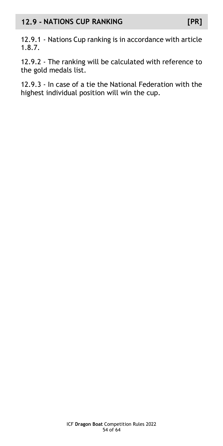<span id="page-53-0"></span>12.9.1 - Nations Cup ranking is in accordance with article 1.8.7.

12.9.2 - The ranking will be calculated with reference to the gold medals list.

12.9.3 - In case of a tie the National Federation with the highest individual position will win the cup.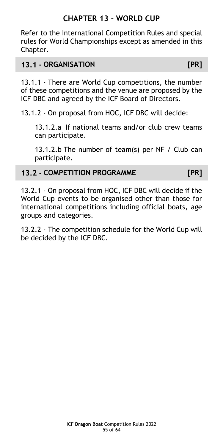#### **CHAPTER 13 - WORLD CUP**

<span id="page-54-0"></span>Refer to the International Competition Rules and special rules for World Championships except as amended in this Chapter.

#### <span id="page-54-1"></span>**ORGANISATION [PR]**

13.1.1 - There are World Cup competitions, the number of these competitions and the venue are proposed by the ICF DBC and agreed by the ICF Board of Directors.

13.1.2 - On proposal from HOC, ICF DBC will decide:

13.1.2.a If national teams and/or club crew teams can participate.

13.1.2.b The number of team(s) per NF / Club can participate.

#### <span id="page-54-2"></span>**COMPETITION PROGRAMME [PR]**

13.2.1 - On proposal from HOC, ICF DBC will decide if the World Cup events to be organised other than those for international competitions including official boats, age groups and categories.

13.2.2 - The competition schedule for the World Cup will be decided by the ICF DBC.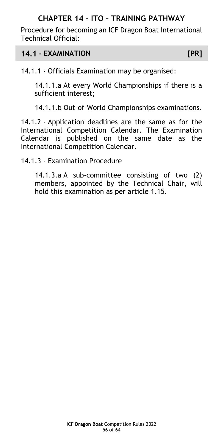### **CHAPTER 14 - ITO – TRAINING PATHWAY**

<span id="page-55-0"></span>Procedure for becoming an ICF Dragon Boat International Technical Official:

#### <span id="page-55-1"></span>**EXAMINATION [PR]**

14.1.1 - Officials Examination may be organised:

14.1.1.a At every World Championships if there is a sufficient interest;

14.1.1.b Out-of-World Championships examinations.

14.1.2 - Application deadlines are the same as for the International Competition Calendar. The Examination Calendar is published on the same date as the International Competition Calendar.

14.1.3 - Examination Procedure

14.1.3.a A sub-committee consisting of two (2) members, appointed by the Technical Chair, will hold this examination as per article 1.15.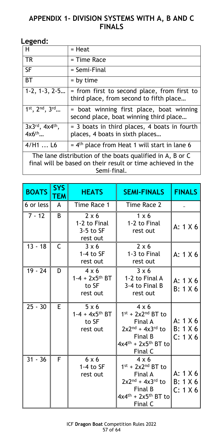#### **APPENDIX 1- DIVISION SYSTEMS WITH A, B AND C FINALS**

**Legend:**

| H                                                                                                                                       | $=$ Heat                                                                               |  |  |
|-----------------------------------------------------------------------------------------------------------------------------------------|----------------------------------------------------------------------------------------|--|--|
| <b>TR</b>                                                                                                                               | = Time Race                                                                            |  |  |
| <b>SF</b>                                                                                                                               | = Semi-Final                                                                           |  |  |
| <b>BT</b>                                                                                                                               | $=$ by time                                                                            |  |  |
| $1-2, 1-3, 2-5$                                                                                                                         | = from first to second place, from first to<br>third place, from second to fifth place |  |  |
| 1st, 2nd, 3rd                                                                                                                           | = boat winning first place, boat winning<br>second place, boat winning third place     |  |  |
| $3x3^{rd}$ , $4x4^{th}$ ,<br>$4x6^{th}$                                                                                                 | = 3 boats in third places, 4 boats in fourth<br>places, 4 boats in sixth places        |  |  |
| 4/H1L6                                                                                                                                  | $=$ 4 <sup>th</sup> place from Heat 1 will start in lane 6                             |  |  |
| The lane distribution of the boats qualified in A, B or C<br>final will be based on their result or time achieved in the<br>Semi-final. |                                                                                        |  |  |

| <b>BOATS</b> | <b>SYS</b><br><b>TEM</b> | <b>HEATS</b>                                                               | <b>SEMI-FINALS</b>                                                                                                                                                 | <b>FINALS</b>                           |
|--------------|--------------------------|----------------------------------------------------------------------------|--------------------------------------------------------------------------------------------------------------------------------------------------------------------|-----------------------------------------|
| 6 or less    | $\mathsf{A}$             | Time Race 1                                                                | Time Race 2                                                                                                                                                        |                                         |
| $7 - 12$     | B                        | $2 \times 6$<br>1-2 to Final<br>$3-5$ to SF<br>rest out                    | $1 \times 6$<br>1-2 to Final<br>rest out                                                                                                                           | A: $1 \times 6$                         |
| $13 - 18$    | $\mathsf{C}$             | $3 \times 6$<br>1-4 to $SF$<br>rest out                                    | $2 \times 6$<br>1-3 to Final<br>rest out                                                                                                                           | A: $1 \times 6$                         |
| $19 - 24$    | D                        | $4 \times 6$<br>$1 - 4 + 2 \times 5$ <sup>th</sup> BT<br>to SF<br>rest out | $3 \times 6$<br>1-2 to Final A<br>3-4 to Final B<br>rest out                                                                                                       | A: $1 \times 6$<br>B: 1 X 6             |
| $25 - 30$    | E                        | $5 \times 6$<br>$1 - 4 + 4 \times 5$ <sup>th</sup> BT<br>to SF<br>rest out | $4 \times 6$<br>$1^{st}$ + 2x2 <sup>nd</sup> BT to<br>Final A<br>$2x2^{nd} + 4x3^{rd}$ to<br>Final B<br>4x4 <sup>th</sup> + 2x5 <sup>th</sup> BT to<br>Final C     | A: $1 \times 6$<br>B: 1 X 6<br>C: 1 X 6 |
| $31 - 36$    | F                        | $6 \times 6$<br>1-4 to $SF$<br>rest out                                    | $4 \times 6$<br>$1^{st}$ + 2x2 <sup>nd</sup> BT to<br>Final A<br>$2x2^{nd} + 4x3^{rd}$ to<br>Final B<br>$4x4$ <sup>th</sup> + $2x5$ <sup>th</sup> BT to<br>Final C | A: $1 \times 6$<br>B: 1 X 6<br>C: 1 X 6 |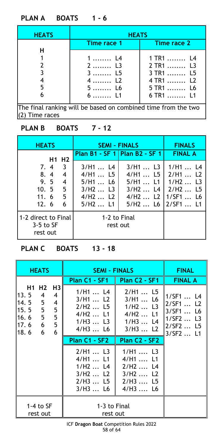#### **PLAN A BOATS 1 - 6**

| <b>HEATS</b> |                  |  |
|--------------|------------------|--|
| Time race 1  | Time race 2      |  |
|              |                  |  |
|              | 1 TR1  L4        |  |
|              | 2 TR1  L3        |  |
| $3 \dots 15$ | 3 TR1  L5        |  |
| 4 $L2$       | 4 TR1  L2        |  |
| $5$ L6       | 5 TR1  L6        |  |
| $6$ $L1$     | 6 TR1  L1        |  |
|              | $1$ L4<br>$2$ L3 |  |

The final ranking will be based on combined time from the two  $(2)$  Time races

### **PLAN B BOATS 7 - 12**

| <b>HEATS</b>                                                                             | <b>SEMI - FINALS</b>                                                             |                                 | <b>FINALS</b>                                                                                                        |
|------------------------------------------------------------------------------------------|----------------------------------------------------------------------------------|---------------------------------|----------------------------------------------------------------------------------------------------------------------|
| H <sub>1</sub> H <sub>2</sub>                                                            |                                                                                  | Plan B1 - SF 1   Plan B2 - SF 1 | <b>FINAL A</b>                                                                                                       |
| 7.4 <sub>3</sub><br>8.4<br>$\overline{4}$<br>9, 5<br>4<br>10.55<br>$11.6$ 5<br>12.6<br>6 | $3/H1$ L4<br>$4/H1$ L5<br>$5/H1$ L6<br>$3/$ H2  L3<br>$4/$ H2  L2<br>$5/$ H2  L1 | 3/H1 L3<br>4/H1 L5              | 1/H1 L4<br>2/H1 L2<br>$5/H1$ L1   1/H2  L3<br>$3/$ H2  L4   2/H2  L5<br>$4/H2$ L2   1/SF1  L6<br>$5/H2$ L6 2/SF1  L1 |
| 1-2 direct to Final<br>$3-5$ to SF<br>rest out                                           | 1-2 to Final<br>rest out                                                         |                                 |                                                                                                                      |

#### **PLAN C BOATS 13 - 18**

| <b>HEATS</b>                                                                                                                                                                                                                          | <b>SEMI - FINALS</b>                                                      |                                                                            | <b>FINAL</b>                                                                            |
|---------------------------------------------------------------------------------------------------------------------------------------------------------------------------------------------------------------------------------------|---------------------------------------------------------------------------|----------------------------------------------------------------------------|-----------------------------------------------------------------------------------------|
|                                                                                                                                                                                                                                       | <b>Plan C1 - SF1   Plan C2 - SF1</b>                                      |                                                                            | <b>FINAL A</b>                                                                          |
| H1 H2 H3<br>$\overline{4}$<br> 13.5 4 <br>$\overline{4}$<br>14.5<br>5 <sup>5</sup><br>$\begin{array}{c} 5 \\ 5 \\ 5 \end{array}$<br>$5\overline{)}$<br>∥15.5<br>5 <sup>5</sup><br>∥16. 6<br>$6\overline{6}$<br>17.6<br>6<br>18.6<br>6 | 1/H1  L4<br>3/H1 L2<br>$2/$ H2  L5<br>$4/$ H2  L1<br>1/H3 L3<br>$4/H3$ L6 | 2/H1 L5<br>$3/H1$ L6<br>1/H2 L3<br>$4/$ H2  L1<br>1/H3 L4<br>3/H3 L2       | 1/SF1  L4<br>$2/$ SF1  L2<br>$3/$ SF1  L6<br>∥1/SF2  L3<br>$2/$ SF2  L5<br>$3/$ SF2  L1 |
|                                                                                                                                                                                                                                       | Plan C1 - SF2                                                             | Plan C <sub>2</sub> - SF <sub>2</sub>                                      |                                                                                         |
|                                                                                                                                                                                                                                       | 2/H1 L3<br>$4/H1$ L1<br>1/H2  L4<br>$3/ H2$ $L2$<br>2/H3  L5<br>3/H3  L6  | $1/H1$ , L3<br>$4/H1$ L1<br>$2/H2$ L4<br>$3/$ H2<br>$2/H3$ L5<br>$4/H3$ L6 |                                                                                         |
| 1-4 to SF                                                                                                                                                                                                                             | 1-3 to Final                                                              |                                                                            |                                                                                         |
| rest out                                                                                                                                                                                                                              | rest out                                                                  |                                                                            |                                                                                         |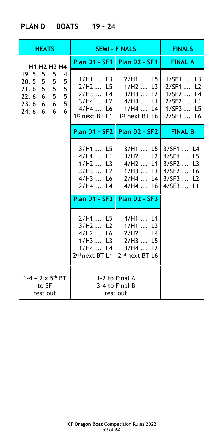### **PLAN D BOATS 19 – 24**

| <b>HEATS</b>                                                                                                                                            | <b>SEMI - FINALS</b>                                                                |                                                                                                                                                                      | <b>FINALS</b>                                                                                          |
|---------------------------------------------------------------------------------------------------------------------------------------------------------|-------------------------------------------------------------------------------------|----------------------------------------------------------------------------------------------------------------------------------------------------------------------|--------------------------------------------------------------------------------------------------------|
| H1 H2 H3 H4                                                                                                                                             |                                                                                     | Plan D1 - SF1    Plan D2 - SF1    FINAL A                                                                                                                            |                                                                                                        |
| 19.55554<br>$20.\overline{5}$ $\overline{5}$ $\overline{5}$ $\overline{5}$ $\overline{5}$<br>21.6 5 5 5<br>22.6 6 5 5<br>23.6 6 6 5<br>6<br>24.6 6<br>6 | 1/H1  L3   <br>3/H4  L2   <br>$1st$ next BT L1 $\parallel$                          | $1/H2$ L3 $\parallel$<br>∥ 2/H3 L4∥ 3/H3 L2∥1/SF2 L4<br>$4/H3$ L1 $\ $<br>4/H4 $L6 \parallel 1/H4$ $L4 \parallel 1/SF3$ $L5$<br>1 <sup>st</sup> next BT L6 2/SF3  L6 | $2/H1$ L5   1/SF1  L3<br>2/SF1  L2<br>$2/$ SF $2 \ldots$ L1                                            |
|                                                                                                                                                         |                                                                                     | Plan D1 - SF2   Plan D2 - SF2   FINAL B                                                                                                                              |                                                                                                        |
|                                                                                                                                                         | $3/H1$ L5<br>4/H1  L1   <br>1/H2  L3<br>$3/H3$ L2   <br>$4/H3$ L6<br>$2/H4$ L4 $\ $ | 1/H3  L3∥4/SF2  L6                                                                                                                                                   | $3/H1$ L5 3/SF1  L4<br>$3/$ H2  L2 $\parallel$ 4/SF1  L5<br>$4/H2$ L1 3/SF2  L3<br>$2/H4$ L4 3/SF3  L2 |
|                                                                                                                                                         |                                                                                     | Plan D1 - $SF3$ Plan D2 - $SF3$                                                                                                                                      |                                                                                                        |
|                                                                                                                                                         | $2/H1$ L5<br>$3/H2$ L2   <br>$1/H4$ L4 $\ $                                         | 4/H1  L1<br>1/H1  L3<br>$4/$ H2  L6   2/H2  L4<br>$1/H3$ L3 $\parallel$ 2/H3  L5<br>3/H4  L2<br>$2nd$ next BT L1 $\parallel$ 2 <sup>nd</sup> next BT L6              |                                                                                                        |
| $1 - 4 + 2 \times 5$ <sup>th</sup> BT<br>to SF<br>rest out                                                                                              | 1-2 to Final A<br>3-4 to Final B<br>rest out                                        |                                                                                                                                                                      |                                                                                                        |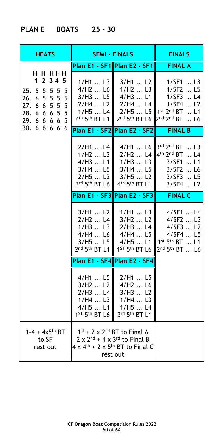### **PLAN E BOATS 25 - 30**

| <b>HEATS</b>                                                                                                   | <b>SEMI - FINALS</b>                                                                                                                                                             |                                                                                                                         | <b>FINALS</b>                                                                                                                                                                              |
|----------------------------------------------------------------------------------------------------------------|----------------------------------------------------------------------------------------------------------------------------------------------------------------------------------|-------------------------------------------------------------------------------------------------------------------------|--------------------------------------------------------------------------------------------------------------------------------------------------------------------------------------------|
|                                                                                                                |                                                                                                                                                                                  | <b>Plan E1 - SF1 Plan E2 - SF1 FINAL A</b>                                                                              |                                                                                                                                                                                            |
| <b>H H H H H</b><br>12345<br>25. 5 5 5 5 5<br>26. 6 5 5 5 5<br>27. 6 6 5 5 5<br>28. 6 6 6 5 5<br>29. 6 6 6 6 5 | $1/H1$ L3<br>$4/H2$ L6<br>$3/H3$ L5 $\ $<br>2/H4  L2   <br>$4th$ 5 <sup>th</sup> BT L1                                                                                           | $3/H1$ L2 $\parallel$<br>1/H <sub>2</sub> L <sub>3</sub><br>$4/H3$ L1 $\parallel$<br>$2/H4$ L4                          | $1/$ SF1  L3<br>$1/$ SF2  L5<br>$1/$ SF3  L4<br>$1/$ SF4  L2<br>$1/H5$ L4   2/H5  L5    1st 2nd BT  L1<br>$2^{nd}$ 5 <sup>th</sup> BT L6 2 <sup>nd</sup> 2 <sup>nd</sup> BT  L6            |
| 30.66666                                                                                                       |                                                                                                                                                                                  | Plan E1 - SF2  Plan E2 - SF2   FINAL B                                                                                  |                                                                                                                                                                                            |
|                                                                                                                | $2/H1$ L4<br>1/H2L3<br>$4/H3$ L1<br>$2/H5$ L2 $\parallel$<br>$3^{\text{rd}}$ 5 <sup>th</sup> BT L6                                                                               | 2/H2L4<br>1/H3  L3 ∥<br>$4th$ 5 <sup>th</sup> BT L1                                                                     | 4/H1  L6 $3^{rd}$ 2 <sup>nd</sup> BT  L3<br>4 <sup>th</sup> 2 <sup>nd</sup> BT  L4<br>3/SF1  L1<br>$3/HA$ L5 $\parallel$ 3/H4  L5 $\parallel$ 3/SF2  L6<br>$3/H5L2$ 3/SF3  L5<br>3/SF4  L2 |
|                                                                                                                |                                                                                                                                                                                  | Plan E1 - SF3  Plan E2 - SF3   FINAL C                                                                                  |                                                                                                                                                                                            |
|                                                                                                                | 3/H1L2<br>$2/H2$ L4<br>$1/H3$ L3<br>$3/H5$ L5<br>2 <sup>nd</sup> 5 <sup>th</sup> BT L1                                                                                           | $1/H1$ L3<br>$3/H2$ L2<br>$2/H3$ L4<br>$4/H4$ L6 $\parallel$ 4/H4  L5<br>4/H5  L1 l<br>$1ST$ 5 <sup>th</sup> BT L6      | 4/SF1  L4<br>4/SF2  L3<br>4/SF3  L2<br>4/SF4  L5<br>1st 5th BT  L1<br>2nd 5th BT  L6                                                                                                       |
|                                                                                                                |                                                                                                                                                                                  | Plan E1 - SF4  Plan E2 - SF4                                                                                            |                                                                                                                                                                                            |
|                                                                                                                | 4/H1  L5<br>$3/H2$ $L2$<br>$2/H3$ L4 $\ $<br>$4/H5$ L1<br>1 <sup>ST</sup> 5 <sup>th</sup> BT L6                                                                                  | 2/H1  L5<br>4/H <sub>2</sub> L <sub>6</sub><br>3/H3  L2<br>$1/H4$ L3 $\parallel$ 1/H4  L3<br>$1/H5$ L4<br>3rd 5th BT L1 |                                                                                                                                                                                            |
| $1 - 4 + 4 \times 5$ <sup>th</sup> BT<br>to SF<br>rest out                                                     | $1^{st}$ + 2 x 2 <sup>nd</sup> BT to Final A<br>$2 \times 2^{nd}$ + 4 x 3 <sup>rd</sup> to Final B<br>$4 \times 4$ <sup>th</sup> + 2 x 5 <sup>th</sup> BT to Final C<br>rest out |                                                                                                                         |                                                                                                                                                                                            |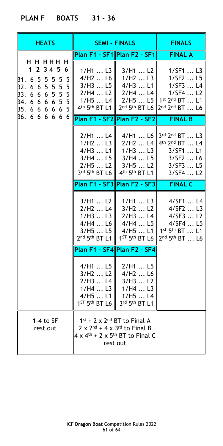#### **PLAN F BOATS 31 - 36**

| <b>HEATS</b>                                                                                                                  | <b>SEMI - FINALS</b>                                                                                      |                                                                                                                                     | <b>FINALS</b>                                                                                                                               |
|-------------------------------------------------------------------------------------------------------------------------------|-----------------------------------------------------------------------------------------------------------|-------------------------------------------------------------------------------------------------------------------------------------|---------------------------------------------------------------------------------------------------------------------------------------------|
|                                                                                                                               |                                                                                                           | Plan $F1 - SF1$ Plan $F2 - SF1$                                                                                                     | <b>FINAL A</b>                                                                                                                              |
| H H H H H H<br>1 2 3 4 5 6<br>B1.655555<br>B2.665555<br>$\beta$ 3. 6 6 6 5 5<br>5<br>B4.666655<br>B5.66666<br>$5\phantom{.0}$ | 1/H1L3<br>$4/$ H2 $$ L6<br>$3/H3$ L5<br>$2/H4$ L2 $\ $<br>1/H5L4<br>4 <sup>th</sup> 5 <sup>th</sup> BT L1 | $3/H1$ L2<br>$1/H2$ L3 $\parallel$<br>4/H3  L1 $\parallel$<br>$2/H4$ L4 $\parallel$<br>$2nd$ 5 <sup>th</sup> BT L6                  | $1/SF1$ L3<br>$1/$ SF2  L5<br>$1/SF3$ L4<br>$1/SF4$ L2<br>$2/H5$ L5    1 <sup>st</sup> $2^{nd}$ BT  L1<br>$\ 2^{nd}$ 2 <sup>nd</sup> BT  L6 |
| B6.666666                                                                                                                     |                                                                                                           | Plan F1 - SF2  Plan F2 - SF2   FINAL B                                                                                              |                                                                                                                                             |
|                                                                                                                               | 2/H1  L4<br>$1/H2$ L3<br>4/H3L1<br>$3/H4$ L5 $\parallel$<br>2/H5L2<br>3rd 5th BT L6                       | 4/H1L6<br>2/H2L4<br>$1/H3$ L3<br>$3/H5$ L2 $\parallel$<br>$4th$ 5 <sup>th</sup> BT L1                                               | $\parallel$ 3rd 2nd BT  L3<br>4 <sup>th</sup> 2 <sup>nd</sup> BT  L4<br>3/SF1  L1<br>$3/HA$ L5   3/SF2  L6<br>3/SF3  L5<br>3/SF4  L2        |
|                                                                                                                               |                                                                                                           | Plan F1 - SF3 Plan F2 - SF3 FINAL C                                                                                                 |                                                                                                                                             |
|                                                                                                                               | 3/H1  L2<br>$2/H2$ L4<br>1/H3L3<br>$4/HA$ L6<br>$3/HS$ $L5$<br>2 <sup>nd</sup> 5 <sup>th</sup> BT L1      | $1/H1$ L3<br>$3/H2$ L2 $\parallel$<br>$2/H3$ L4<br>$4/HA$ L5<br>4/H5L1<br>$1ST$ 5 <sup>th</sup> BT L6                               | 4/SF1  L4<br>$4/$ SF2 $$ L3<br>$4/SF3$ L2<br>4/SF4  L5<br>1st 5th BT  L1<br>2nd 5th BT  L6                                                  |
|                                                                                                                               | Plan F1 - SF4 Plan F2 - SF4                                                                               |                                                                                                                                     |                                                                                                                                             |
|                                                                                                                               | 4/H1  L5<br>$3/$ H2 $$ L2<br>$2/H3$ L4 $\ $<br>$1/H4$ L3 $\parallel$                                      | 2/H1  L5<br>$4/$ H2  L6<br>3/H3L2<br>1/H4 L3<br>$4/H5$ L1   $1/H5$ L4<br>$1^{ST}$ 5 <sup>th</sup> BT L6   3rd 5 <sup>th</sup> BT L1 |                                                                                                                                             |
| 1-4 to SF<br>rest out                                                                                                         | $2 \times 2^{nd}$ + 4 x 3 <sup>rd</sup> to Final B<br>rest out                                            | $1^{st}$ + 2 x 2 <sup>nd</sup> BT to Final A<br>4 x 4 <sup>th</sup> + 2 x 5 <sup>th</sup> BT to Final C                             |                                                                                                                                             |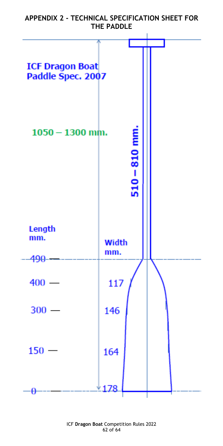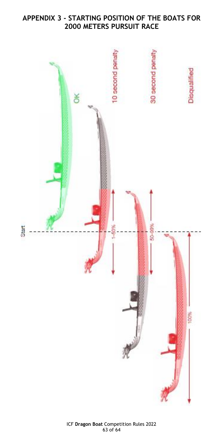#### **APPENDIX 3 - STARTING POSITION OF THE BOATS FOR 2000 METERS PURSUIT RACE**